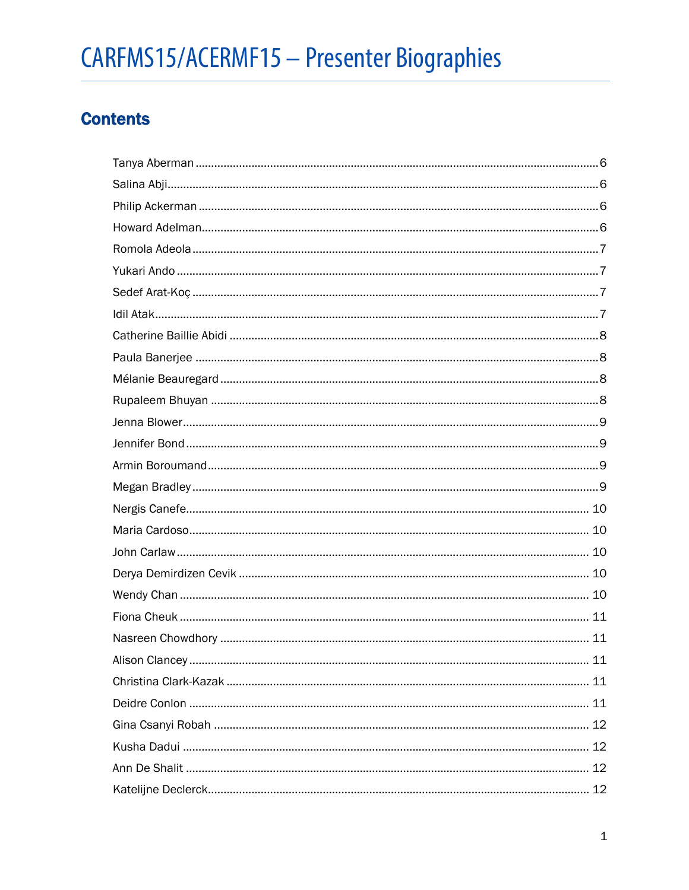# **Contents**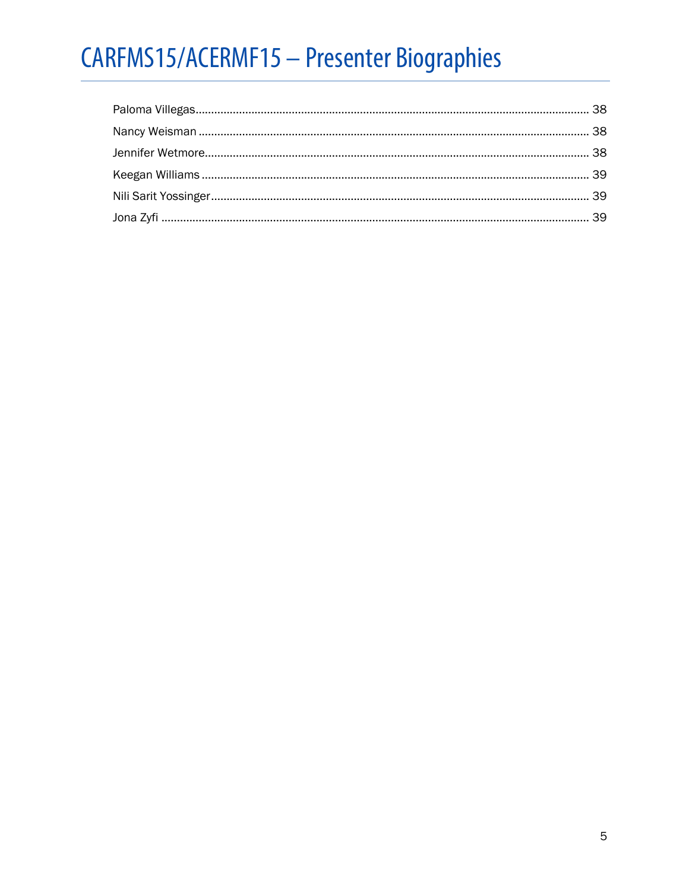<span id="page-4-0"></span>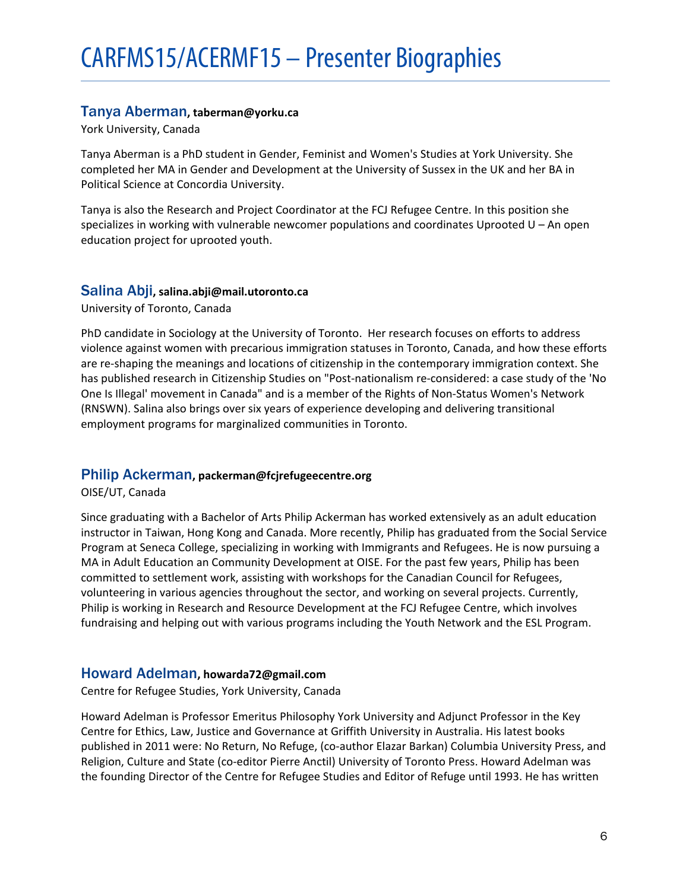# Tanya Aberman**, taberman@yorku.ca**

York University, Canada

Tanya Aberman is a PhD student in Gender, Feminist and Women's Studies at York University. She completed her MA in Gender and Development at the University of Sussex in the UK and her BA in Political Science at Concordia University.

Tanya is also the Research and Project Coordinator at the FCJ Refugee Centre. In this position she specializes in working with vulnerable newcomer populations and coordinates Uprooted U – An open education project for uprooted youth.

# <span id="page-5-0"></span>Salina Abji**, salina.abji@mail.utoronto.ca**

University of Toronto, Canada

PhD candidate in Sociology at the University of Toronto. Her research focuses on efforts to address violence against women with precarious immigration statuses in Toronto, Canada, and how these efforts are re-shaping the meanings and locations of citizenship in the contemporary immigration context. She has published research in Citizenship Studies on "Post-nationalism re-considered: a case study of the 'No One Is Illegal' movement in Canada" and is a member of the Rights of Non-Status Women's Network (RNSWN). Salina also brings over six years of experience developing and delivering transitional employment programs for marginalized communities in Toronto.

# <span id="page-5-1"></span>Philip Ackerman**, packerman@fcjrefugeecentre.org**

OISE/UT, Canada

Since graduating with a Bachelor of Arts Philip Ackerman has worked extensively as an adult education instructor in Taiwan, Hong Kong and Canada. More recently, Philip has graduated from the Social Service Program at Seneca College, specializing in working with Immigrants and Refugees. He is now pursuing a MA in Adult Education an Community Development at OISE. For the past few years, Philip has been committed to settlement work, assisting with workshops for the Canadian Council for Refugees, volunteering in various agencies throughout the sector, and working on several projects. Currently, Philip is working in Research and Resource Development at the FCJ Refugee Centre, which involves fundraising and helping out with various programs including the Youth Network and the ESL Program.

# <span id="page-5-2"></span>Howard Adelman**, howarda72@gmail.com**

Centre for Refugee Studies, York University, Canada

Howard Adelman is Professor Emeritus Philosophy York University and Adjunct Professor in the Key Centre for Ethics, Law, Justice and Governance at Griffith University in Australia. His latest books published in 2011 were: No Return, No Refuge, (co-author Elazar Barkan) Columbia University Press, and Religion, Culture and State (co-editor Pierre Anctil) University of Toronto Press. Howard Adelman was the founding Director of the Centre for Refugee Studies and Editor of Refuge until 1993. He has written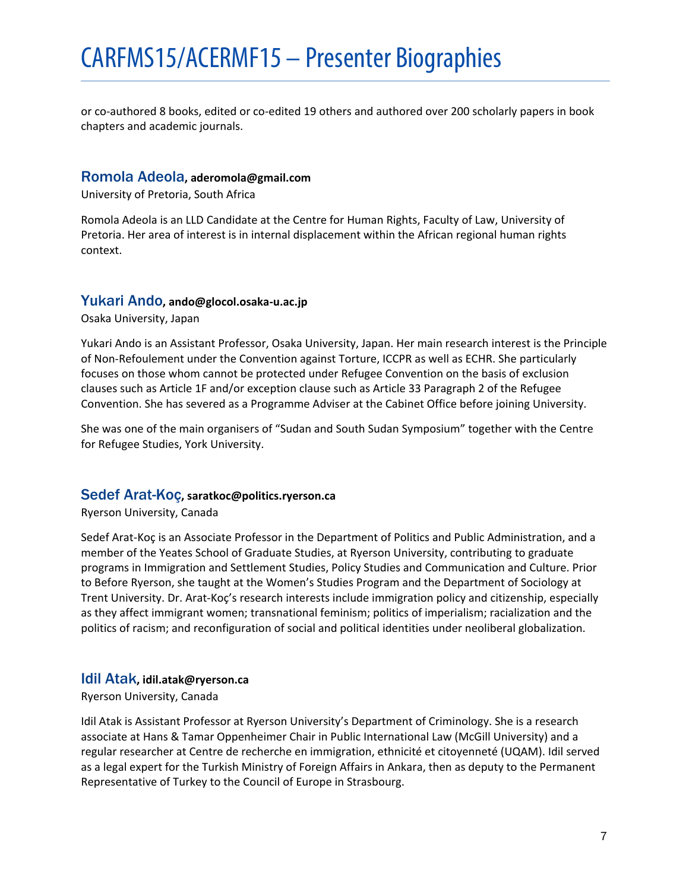or co-authored 8 books, edited or co-edited 19 others and authored over 200 scholarly papers in book chapters and academic journals.

# <span id="page-6-0"></span>Romola Adeola**, aderomola@gmail.com**

University of Pretoria, South Africa

Romola Adeola is an LLD Candidate at the Centre for Human Rights, Faculty of Law, University of Pretoria. Her area of interest is in internal displacement within the African regional human rights context.

# <span id="page-6-1"></span>Yukari Ando**, ando@glocol.osaka-u.ac.jp**

Osaka University, Japan

Yukari Ando is an Assistant Professor, Osaka University, Japan. Her main research interest is the Principle of Non-Refoulement under the Convention against Torture, ICCPR as well as ECHR. She particularly focuses on those whom cannot be protected under Refugee Convention on the basis of exclusion clauses such as Article 1F and/or exception clause such as Article 33 Paragraph 2 of the Refugee Convention. She has severed as a Programme Adviser at the Cabinet Office before joining University.

She was one of the main organisers of "Sudan and South Sudan Symposium" together with the Centre for Refugee Studies, York University.

# <span id="page-6-2"></span>Sedef Arat-Koç**, saratkoc@politics.ryerson.ca**

Ryerson University, Canada

Sedef Arat-Koç is an Associate Professor in the Department of Politics and Public Administration, and a member of the Yeates School of Graduate Studies, at Ryerson University, contributing to graduate programs in Immigration and Settlement Studies, Policy Studies and Communication and Culture. Prior to Before Ryerson, she taught at the Women's Studies Program and the Department of Sociology at Trent University. Dr. Arat-Koç's research interests include immigration policy and citizenship, especially as they affect immigrant women; transnational feminism; politics of imperialism; racialization and the politics of racism; and reconfiguration of social and political identities under neoliberal globalization.

# <span id="page-6-3"></span>Idil Atak**, idil.atak@ryerson.ca**

Ryerson University, Canada

Idil Atak is Assistant Professor at Ryerson University's Department of Criminology. She is a research associate at Hans & Tamar Oppenheimer Chair in Public International Law (McGill University) and a regular researcher at Centre de recherche en immigration, ethnicité et citoyenneté (UQAM). Idil served as a legal expert for the Turkish Ministry of Foreign Affairs in Ankara, then as deputy to the Permanent Representative of Turkey to the Council of Europe in Strasbourg.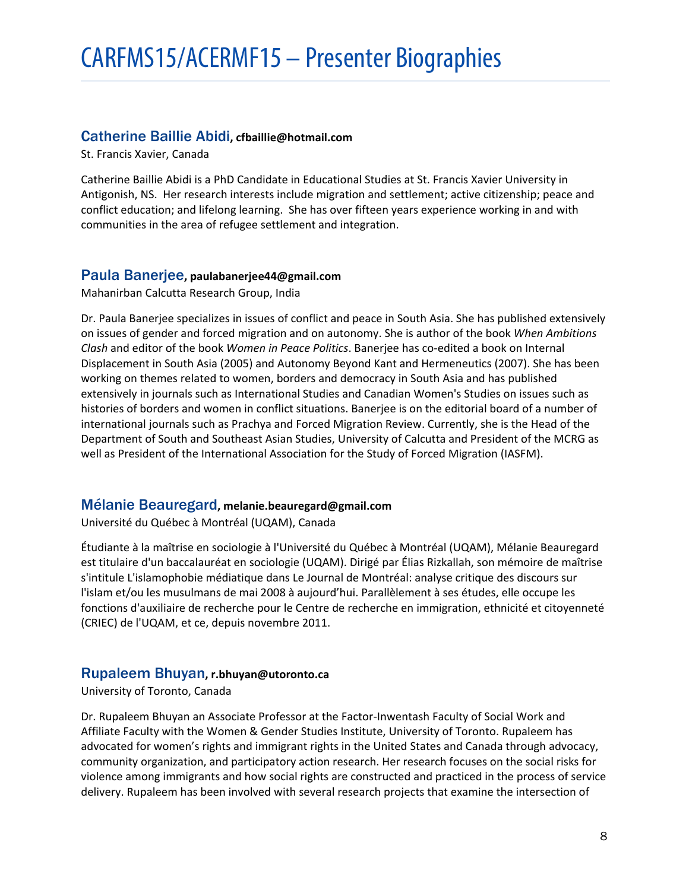# <span id="page-7-0"></span>Catherine Baillie Abidi**, cfbaillie@hotmail.com**

St. Francis Xavier, Canada

Catherine Baillie Abidi is a PhD Candidate in Educational Studies at St. Francis Xavier University in Antigonish, NS. Her research interests include migration and settlement; active citizenship; peace and conflict education; and lifelong learning. She has over fifteen years experience working in and with communities in the area of refugee settlement and integration.

# <span id="page-7-1"></span>Paula Banerjee**, paulabanerjee44@gmail.com**

Mahanirban Calcutta Research Group, India

Dr. Paula Banerjee specializes in issues of conflict and peace in South Asia. She has published extensively on issues of gender and forced migration and on autonomy. She is author of the book *When Ambitions Clash* and editor of the book *Women in Peace Politics*. Banerjee has co-edited a book on Internal Displacement in South Asia (2005) and Autonomy Beyond Kant and Hermeneutics (2007). She has been working on themes related to women, borders and democracy in South Asia and has published extensively in journals such as International Studies and Canadian Women's Studies on issues such as histories of borders and women in conflict situations. Banerjee is on the editorial board of a number of international journals such as Prachya and Forced Migration Review. Currently, she is the Head of the Department of South and Southeast Asian Studies, University of Calcutta and President of the MCRG as well as President of the International Association for the Study of Forced Migration (IASFM).

# <span id="page-7-2"></span>Mélanie Beauregard**, melanie.beauregard@gmail.com**

Université du Québec à Montréal (UQAM), Canada

Étudiante à la maîtrise en sociologie à l'Université du Québec à Montréal (UQAM), Mélanie Beauregard est titulaire d'un baccalauréat en sociologie (UQAM). Dirigé par Élias Rizkallah, son mémoire de maîtrise s'intitule L'islamophobie médiatique dans Le Journal de Montréal: analyse critique des discours sur l'islam et/ou les musulmans de mai 2008 à aujourd'hui. Parallèlement à ses études, elle occupe les fonctions d'auxiliaire de recherche pour le Centre de recherche en immigration, ethnicité et citoyenneté (CRIEC) de l'UQAM, et ce, depuis novembre 2011.

# <span id="page-7-3"></span>Rupaleem Bhuyan**, r.bhuyan@utoronto.ca**

University of Toronto, Canada

Dr. Rupaleem Bhuyan an Associate Professor at the Factor-Inwentash Faculty of Social Work and Affiliate Faculty with the Women & Gender Studies Institute, University of Toronto. Rupaleem has advocated for women's rights and immigrant rights in the United States and Canada through advocacy, community organization, and participatory action research. Her research focuses on the social risks for violence among immigrants and how social rights are constructed and practiced in the process of service delivery. Rupaleem has been involved with several research projects that examine the intersection of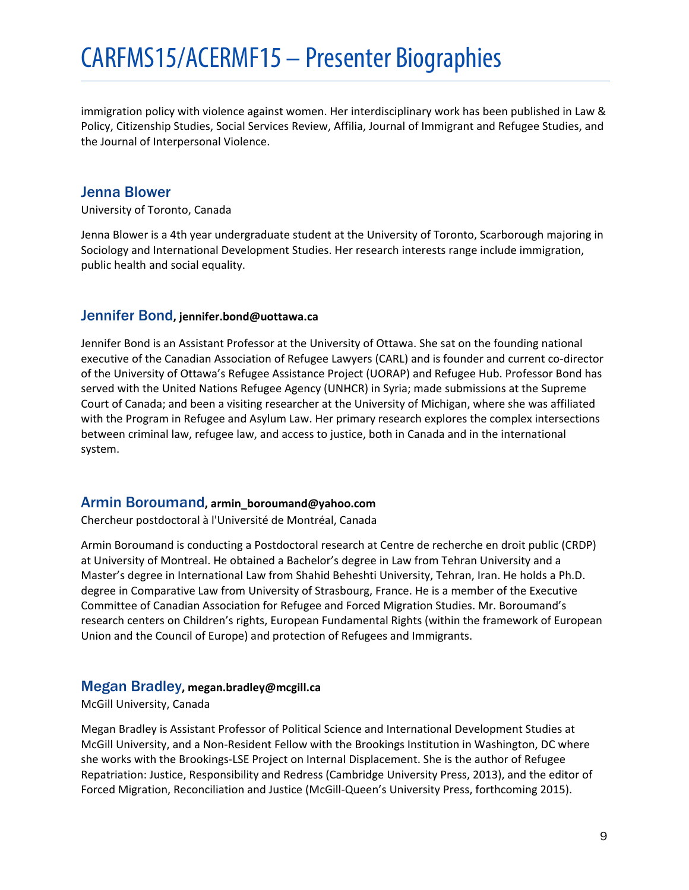immigration policy with violence against women. Her interdisciplinary work has been published in Law & Policy, Citizenship Studies, Social Services Review, Affilia, Journal of Immigrant and Refugee Studies, and the Journal of Interpersonal Violence.

# <span id="page-8-0"></span>Jenna Blower

University of Toronto, Canada

Jenna Blower is a 4th year undergraduate student at the University of Toronto, Scarborough majoring in Sociology and International Development Studies. Her research interests range include immigration, public health and social equality.

# <span id="page-8-1"></span>Jennifer Bond**, jennifer.bond@uottawa.ca**

Jennifer Bond is an Assistant Professor at the University of Ottawa. She sat on the founding national executive of the Canadian Association of Refugee Lawyers (CARL) and is founder and current co-director of the University of Ottawa's Refugee Assistance Project (UORAP) and Refugee Hub. Professor Bond has served with the United Nations Refugee Agency (UNHCR) in Syria; made submissions at the Supreme Court of Canada; and been a visiting researcher at the University of Michigan, where she was affiliated with the Program in Refugee and Asylum Law. Her primary research explores the complex intersections between criminal law, refugee law, and access to justice, both in Canada and in the international system.

# <span id="page-8-2"></span>Armin Boroumand**, armin\_boroumand@yahoo.com**

Chercheur postdoctoral à l'Université de Montréal, Canada

Armin Boroumand is conducting a Postdoctoral research at Centre de recherche en droit public (CRDP) at University of Montreal. He obtained a Bachelor's degree in Law from Tehran University and a Master's degree in International Law from Shahid Beheshti University, Tehran, Iran. He holds a Ph.D. degree in Comparative Law from University of Strasbourg, France. He is a member of the Executive Committee of Canadian Association for Refugee and Forced Migration Studies. Mr. Boroumand's research centers on Children's rights, European Fundamental Rights (within the framework of European Union and the Council of Europe) and protection of Refugees and Immigrants.

# <span id="page-8-3"></span>Megan Bradley**, megan.bradley@mcgill.ca**

#### McGill University, Canada

Megan Bradley is Assistant Professor of Political Science and International Development Studies at McGill University, and a Non-Resident Fellow with the Brookings Institution in Washington, DC where she works with the Brookings-LSE Project on Internal Displacement. She is the author of Refugee Repatriation: Justice, Responsibility and Redress (Cambridge University Press, 2013), and the editor of Forced Migration, Reconciliation and Justice (McGill-Queen's University Press, forthcoming 2015).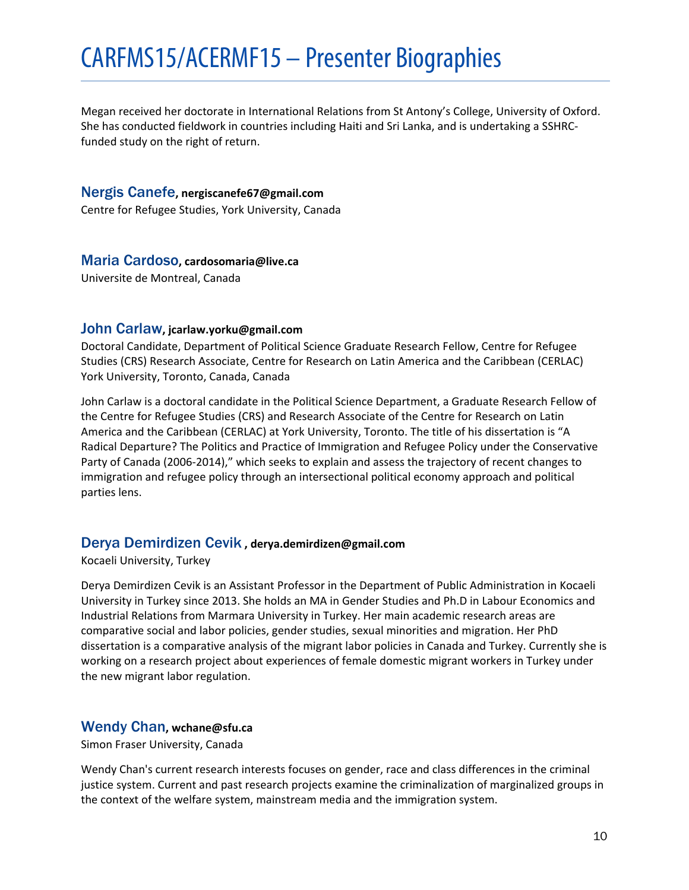Megan received her doctorate in International Relations from St Antony's College, University of Oxford. She has conducted fieldwork in countries including Haiti and Sri Lanka, and is undertaking a SSHRCfunded study on the right of return.

# <span id="page-9-0"></span>Nergis Canefe**, nergiscanefe67@gmail.com**

Centre for Refugee Studies, York University, Canada

# <span id="page-9-1"></span>Maria Cardoso**, cardosomaria@live.ca**

Universite de Montreal, Canada

# <span id="page-9-2"></span>John Carlaw**, jcarlaw.yorku@gmail.com**

Doctoral Candidate, Department of Political Science Graduate Research Fellow, Centre for Refugee Studies (CRS) Research Associate, Centre for Research on Latin America and the Caribbean (CERLAC) York University, Toronto, Canada, Canada

John Carlaw is a doctoral candidate in the Political Science Department, a Graduate Research Fellow of the Centre for Refugee Studies (CRS) and Research Associate of the Centre for Research on Latin America and the Caribbean (CERLAC) at York University, Toronto. The title of his dissertation is "A Radical Departure? The Politics and Practice of Immigration and Refugee Policy under the Conservative Party of Canada (2006-2014)," which seeks to explain and assess the trajectory of recent changes to immigration and refugee policy through an intersectional political economy approach and political parties lens.

# <span id="page-9-3"></span>Derya Demirdizen Cevik **, derya.demirdizen@gmail.com**

Kocaeli University, Turkey

Derya Demirdizen Cevik is an Assistant Professor in the Department of Public Administration in Kocaeli University in Turkey since 2013. She holds an MA in Gender Studies and Ph.D in Labour Economics and Industrial Relations from Marmara University in Turkey. Her main academic research areas are comparative social and labor policies, gender studies, sexual minorities and migration. Her PhD dissertation is a comparative analysis of the migrant labor policies in Canada and Turkey. Currently she is working on a research project about experiences of female domestic migrant workers in Turkey under the new migrant labor regulation.

# <span id="page-9-4"></span>Wendy Chan**, wchane@sfu.ca**

Simon Fraser University, Canada

Wendy Chan's current research interests focuses on gender, race and class differences in the criminal justice system. Current and past research projects examine the criminalization of marginalized groups in the context of the welfare system, mainstream media and the immigration system.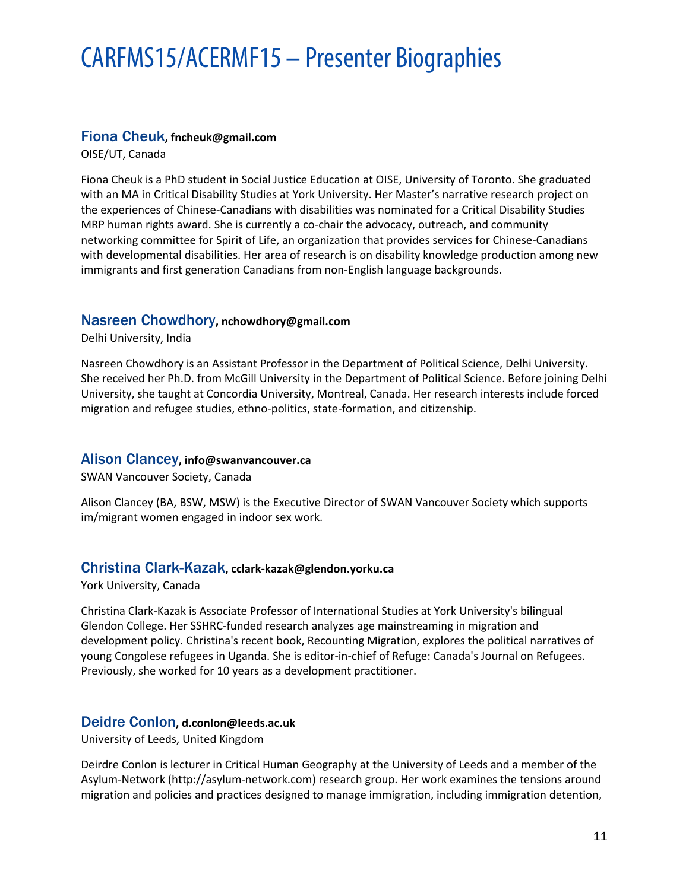# <span id="page-10-0"></span>Fiona Cheuk**, fncheuk@gmail.com**

OISE/UT, Canada

Fiona Cheuk is a PhD student in Social Justice Education at OISE, University of Toronto. She graduated with an MA in Critical Disability Studies at York University. Her Master's narrative research project on the experiences of Chinese-Canadians with disabilities was nominated for a Critical Disability Studies MRP human rights award. She is currently a co-chair the advocacy, outreach, and community networking committee for Spirit of Life, an organization that provides services for Chinese-Canadians with developmental disabilities. Her area of research is on disability knowledge production among new immigrants and first generation Canadians from non-English language backgrounds.

# <span id="page-10-1"></span>Nasreen Chowdhory**, nchowdhory@gmail.com**

Delhi University, India

Nasreen Chowdhory is an Assistant Professor in the Department of Political Science, Delhi University. She received her Ph.D. from McGill University in the Department of Political Science. Before joining Delhi University, she taught at Concordia University, Montreal, Canada. Her research interests include forced migration and refugee studies, ethno-politics, state-formation, and citizenship.

# <span id="page-10-2"></span>Alison Clancey**, info@swanvancouver.ca**

SWAN Vancouver Society, Canada

Alison Clancey (BA, BSW, MSW) is the Executive Director of SWAN Vancouver Society which supports im/migrant women engaged in indoor sex work.

# <span id="page-10-3"></span>Christina Clark-Kazak**, cclark-kazak@glendon.yorku.ca**

York University, Canada

Christina Clark-Kazak is Associate Professor of International Studies at York University's bilingual Glendon College. Her SSHRC-funded research analyzes age mainstreaming in migration and development policy. Christina's recent book, Recounting Migration, explores the political narratives of young Congolese refugees in Uganda. She is editor-in-chief of Refuge: Canada's Journal on Refugees. Previously, she worked for 10 years as a development practitioner.

# <span id="page-10-4"></span>Deidre Conlon**, d.conlon@leeds.ac.uk**

University of Leeds, United Kingdom

Deirdre Conlon is lecturer in Critical Human Geography at the University of Leeds and a member of the Asylum-Network (http://asylum-network.com) research group. Her work examines the tensions around migration and policies and practices designed to manage immigration, including immigration detention,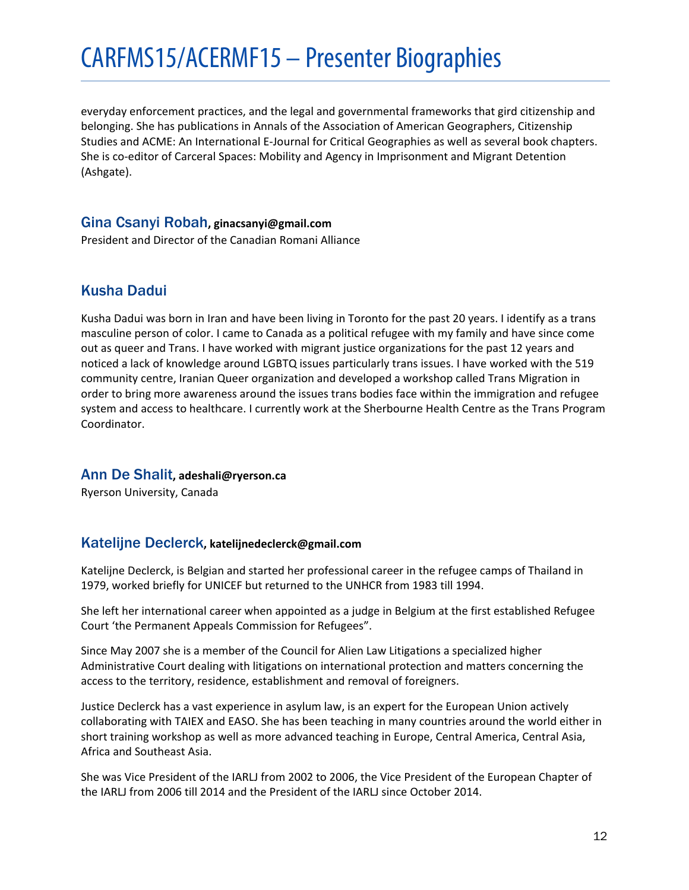everyday enforcement practices, and the legal and governmental frameworks that gird citizenship and belonging. She has publications in Annals of the Association of American Geographers, Citizenship Studies and ACME: An International E-Journal for Critical Geographies as well as several book chapters. She is co-editor of Carceral Spaces: Mobility and Agency in Imprisonment and Migrant Detention (Ashgate).

# <span id="page-11-0"></span>Gina Csanyi Robah**, ginacsanyi@gmail.com**

President and Director of the Canadian Romani Alliance

# <span id="page-11-1"></span>Kusha Dadui

Kusha Dadui was born in Iran and have been living in Toronto for the past 20 years. I identify as a trans masculine person of color. I came to Canada as a political refugee with my family and have since come out as queer and Trans. I have worked with migrant justice organizations for the past 12 years and noticed a lack of knowledge around LGBTQ issues particularly trans issues. I have worked with the 519 community centre, Iranian Queer organization and developed a workshop called Trans Migration in order to bring more awareness around the issues trans bodies face within the immigration and refugee system and access to healthcare. I currently work at the Sherbourne Health Centre as the Trans Program Coordinator.

# <span id="page-11-2"></span>Ann De Shalit**, adeshali@ryerson.ca**

Ryerson University, Canada

# <span id="page-11-3"></span>Katelijne Declerck**, katelijnedeclerck@gmail.com**

Katelijne Declerck, is Belgian and started her professional career in the refugee camps of Thailand in 1979, worked briefly for UNICEF but returned to the UNHCR from 1983 till 1994.

She left her international career when appointed as a judge in Belgium at the first established Refugee Court 'the Permanent Appeals Commission for Refugees".

Since May 2007 she is a member of the Council for Alien Law Litigations a specialized higher Administrative Court dealing with litigations on international protection and matters concerning the access to the territory, residence, establishment and removal of foreigners.

Justice Declerck has a vast experience in asylum law, is an expert for the European Union actively collaborating with TAIEX and EASO. She has been teaching in many countries around the world either in short training workshop as well as more advanced teaching in Europe, Central America, Central Asia, Africa and Southeast Asia.

She was Vice President of the IARLJ from 2002 to 2006, the Vice President of the European Chapter of the IARLJ from 2006 till 2014 and the President of the IARLJ since October 2014.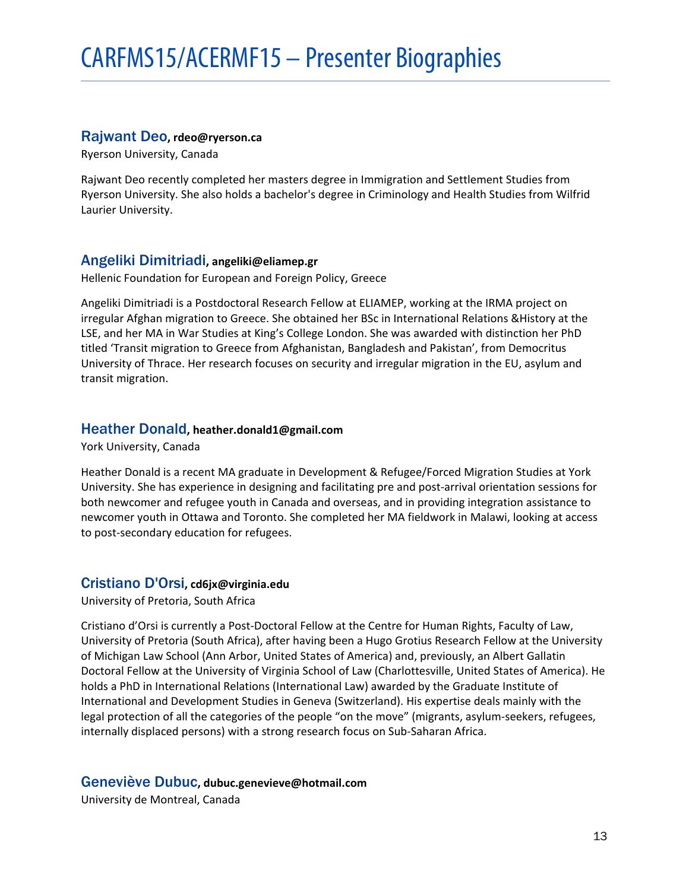# <span id="page-12-0"></span>Rajwant Deo**, rdeo@ryerson.ca**

Ryerson University, Canada

Rajwant Deo recently completed her masters degree in Immigration and Settlement Studies from Ryerson University. She also holds a bachelor's degree in Criminology and Health Studies from Wilfrid Laurier University.

# <span id="page-12-1"></span>Angeliki Dimitriadi**, angeliki@eliamep.gr**

Hellenic Foundation for European and Foreign Policy, Greece

Angeliki Dimitriadi is a Postdoctoral Research Fellow at ELIAMEP, working at the IRMA project on irregular Afghan migration to Greece. She obtained her BSc in International Relations &History at the LSE, and her MA in War Studies at King's College London. She was awarded with distinction her PhD titled 'Transit migration to Greece from Afghanistan, Bangladesh and Pakistan', from Democritus University of Thrace. Her research focuses on security and irregular migration in the EU, asylum and transit migration.

#### <span id="page-12-2"></span>Heather Donald**, heather.donald1@gmail.com**

York University, Canada

Heather Donald is a recent MA graduate in Development & Refugee/Forced Migration Studies at York University. She has experience in designing and facilitating pre and post-arrival orientation sessions for both newcomer and refugee youth in Canada and overseas, and in providing integration assistance to newcomer youth in Ottawa and Toronto. She completed her MA fieldwork in Malawi, looking at access to post-secondary education for refugees.

#### <span id="page-12-3"></span>Cristiano D'Orsi**, cd6jx@virginia.edu**

University of Pretoria, South Africa

Cristiano d'Orsi is currently a Post-Doctoral Fellow at the Centre for Human Rights, Faculty of Law, University of Pretoria (South Africa), after having been a Hugo Grotius Research Fellow at the University of Michigan Law School (Ann Arbor, United States of America) and, previously, an Albert Gallatin Doctoral Fellow at the University of Virginia School of Law (Charlottesville, United States of America). He holds a PhD in International Relations (International Law) awarded by the Graduate Institute of International and Development Studies in Geneva (Switzerland). His expertise deals mainly with the legal protection of all the categories of the people "on the move" (migrants, asylum-seekers, refugees, internally displaced persons) with a strong research focus on Sub-Saharan Africa.

#### <span id="page-12-4"></span>Geneviève Dubuc**, dubuc.genevieve@hotmail.com**

University de Montreal, Canada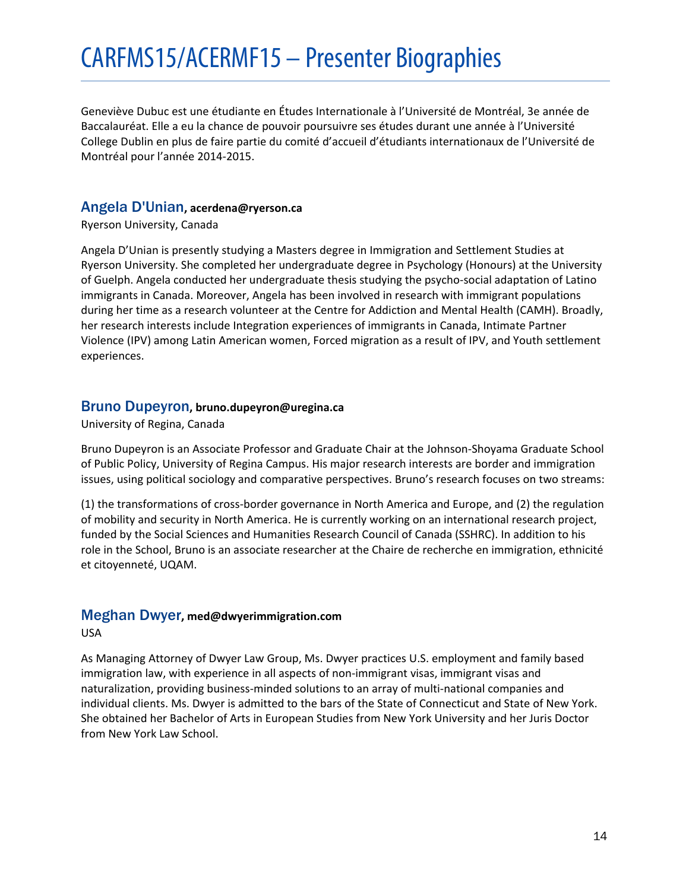Geneviève Dubuc est une étudiante en Études Internationale à l'Université de Montréal, 3e année de Baccalauréat. Elle a eu la chance de pouvoir poursuivre ses études durant une année à l'Université College Dublin en plus de faire partie du comité d'accueil d'étudiants internationaux de l'Université de Montréal pour l'année 2014-2015.

# <span id="page-13-0"></span>Angela D'Unian**, acerdena@ryerson.ca**

Ryerson University, Canada

Angela D'Unian is presently studying a Masters degree in Immigration and Settlement Studies at Ryerson University. She completed her undergraduate degree in Psychology (Honours) at the University of Guelph. Angela conducted her undergraduate thesis studying the psycho-social adaptation of Latino immigrants in Canada. Moreover, Angela has been involved in research with immigrant populations during her time as a research volunteer at the Centre for Addiction and Mental Health (CAMH). Broadly, her research interests include Integration experiences of immigrants in Canada, Intimate Partner Violence (IPV) among Latin American women, Forced migration as a result of IPV, and Youth settlement experiences.

# <span id="page-13-1"></span>Bruno Dupeyron**, bruno.dupeyron@uregina.ca**

University of Regina, Canada

Bruno Dupeyron is an Associate Professor and Graduate Chair at the Johnson-Shoyama Graduate School of Public Policy, University of Regina Campus. His major research interests are border and immigration issues, using political sociology and comparative perspectives. Bruno's research focuses on two streams:

(1) the transformations of cross-border governance in North America and Europe, and (2) the regulation of mobility and security in North America. He is currently working on an international research project, funded by the Social Sciences and Humanities Research Council of Canada (SSHRC). In addition to his role in the School, Bruno is an associate researcher at the Chaire de recherche en immigration, ethnicité et citoyenneté, UQAM.

# <span id="page-13-2"></span>Meghan Dwyer**, med@dwyerimmigration.com**

USA

As Managing Attorney of Dwyer Law Group, Ms. Dwyer practices U.S. employment and family based immigration law, with experience in all aspects of non-immigrant visas, immigrant visas and naturalization, providing business-minded solutions to an array of multi-national companies and individual clients. Ms. Dwyer is admitted to the bars of the State of Connecticut and State of New York. She obtained her Bachelor of Arts in European Studies from New York University and her Juris Doctor from New York Law School.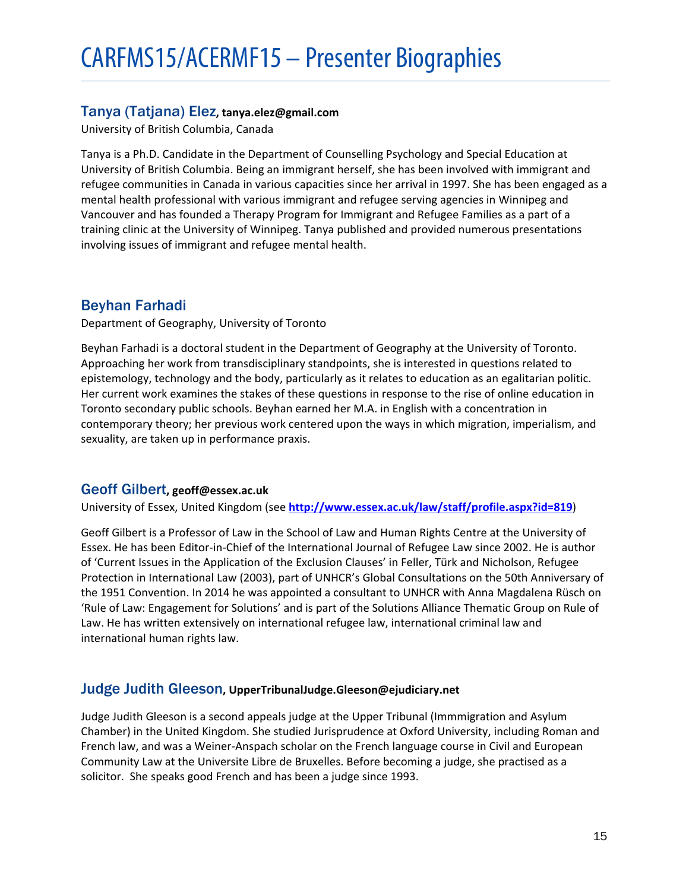# <span id="page-14-0"></span>Tanya (Tatjana) Elez**, tanya.elez@gmail.com**

University of British Columbia, Canada

Tanya is a Ph.D. Candidate in the Department of Counselling Psychology and Special Education at University of British Columbia. Being an immigrant herself, she has been involved with immigrant and refugee communities in Canada in various capacities since her arrival in 1997. She has been engaged as a mental health professional with various immigrant and refugee serving agencies in Winnipeg and Vancouver and has founded a Therapy Program for Immigrant and Refugee Families as a part of a training clinic at the University of Winnipeg. Tanya published and provided numerous presentations involving issues of immigrant and refugee mental health.

# <span id="page-14-1"></span>Beyhan Farhadi

Department of Geography, University of Toronto

Beyhan Farhadi is a doctoral student in the Department of Geography at the University of Toronto. Approaching her work from transdisciplinary standpoints, she is interested in questions related to epistemology, technology and the body, particularly as it relates to education as an egalitarian politic. Her current work examines the stakes of these questions in response to the rise of online education in Toronto secondary public schools. Beyhan earned her M.A. in English with a concentration in contemporary theory; her previous work centered upon the ways in which migration, imperialism, and sexuality, are taken up in performance praxis.

# <span id="page-14-2"></span>Geoff Gilbert**, geoff@essex.ac.uk**

University of Essex, United Kingdom (see **<http://www.essex.ac.uk/law/staff/profile.aspx?id=819>**)

Geoff Gilbert is a Professor of Law in the School of Law and Human Rights Centre at the University of Essex. He has been Editor-in-Chief of the International Journal of Refugee Law since 2002. He is author of 'Current Issues in the Application of the Exclusion Clauses' in Feller, Türk and Nicholson, Refugee Protection in International Law (2003), part of UNHCR's Global Consultations on the 50th Anniversary of the 1951 Convention. In 2014 he was appointed a consultant to UNHCR with Anna Magdalena Rüsch on 'Rule of Law: Engagement for Solutions' and is part of the Solutions Alliance Thematic Group on Rule of Law. He has written extensively on international refugee law, international criminal law and international human rights law.

# <span id="page-14-3"></span>Judge Judith Gleeson**, UpperTribunalJudge.Gleeson@ejudiciary.net**

Judge Judith Gleeson is a second appeals judge at the Upper Tribunal (Immmigration and Asylum Chamber) in the United Kingdom. She studied Jurisprudence at Oxford University, including Roman and French law, and was a Weiner-Anspach scholar on the French language course in Civil and European Community Law at the Universite Libre de Bruxelles. Before becoming a judge, she practised as a solicitor. She speaks good French and has been a judge since 1993.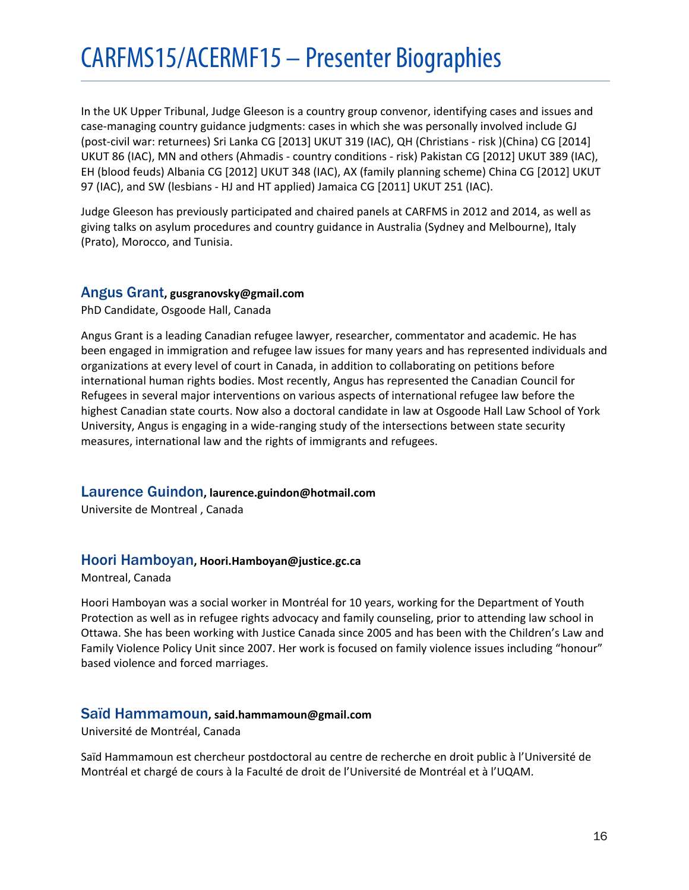In the UK Upper Tribunal, Judge Gleeson is a country group convenor, identifying cases and issues and case-managing country guidance judgments: cases in which she was personally involved include GJ (post-civil war: returnees) Sri Lanka CG [2013] UKUT 319 (IAC), QH (Christians - risk )(China) CG [2014] UKUT 86 (IAC), MN and others (Ahmadis - country conditions - risk) Pakistan CG [2012] UKUT 389 (IAC), EH (blood feuds) Albania CG [2012] UKUT 348 (IAC), AX (family planning scheme) China CG [2012] UKUT 97 (IAC), and SW (lesbians - HJ and HT applied) Jamaica CG [2011] UKUT 251 (IAC).

Judge Gleeson has previously participated and chaired panels at CARFMS in 2012 and 2014, as well as giving talks on asylum procedures and country guidance in Australia (Sydney and Melbourne), Italy (Prato), Morocco, and Tunisia.

# <span id="page-15-0"></span>Angus Grant**, gusgranovsky@gmail.com**

PhD Candidate, Osgoode Hall, Canada

Angus Grant is a leading Canadian refugee lawyer, researcher, commentator and academic. He has been engaged in immigration and refugee law issues for many years and has represented individuals and organizations at every level of court in Canada, in addition to collaborating on petitions before international human rights bodies. Most recently, Angus has represented the Canadian Council for Refugees in several major interventions on various aspects of international refugee law before the highest Canadian state courts. Now also a doctoral candidate in law at Osgoode Hall Law School of York University, Angus is engaging in a wide-ranging study of the intersections between state security measures, international law and the rights of immigrants and refugees.

# <span id="page-15-1"></span>Laurence Guindon**, laurence.guindon@hotmail.com**

Universite de Montreal , Canada

# <span id="page-15-2"></span>Hoori Hamboyan**, Hoori.Hamboyan@justice.gc.ca**

Montreal, Canada

Hoori Hamboyan was a social worker in Montréal for 10 years, working for the Department of Youth Protection as well as in refugee rights advocacy and family counseling, prior to attending law school in Ottawa. She has been working with Justice Canada since 2005 and has been with the Children's Law and Family Violence Policy Unit since 2007. Her work is focused on family violence issues including "honour" based violence and forced marriages.

# <span id="page-15-3"></span>Saïd Hammamoun**, said.hammamoun@gmail.com**

Université de Montréal, Canada

Saïd Hammamoun est chercheur postdoctoral au centre de recherche en droit public à l'Université de Montréal et chargé de cours à la Faculté de droit de l'Université de Montréal et à l'UQAM.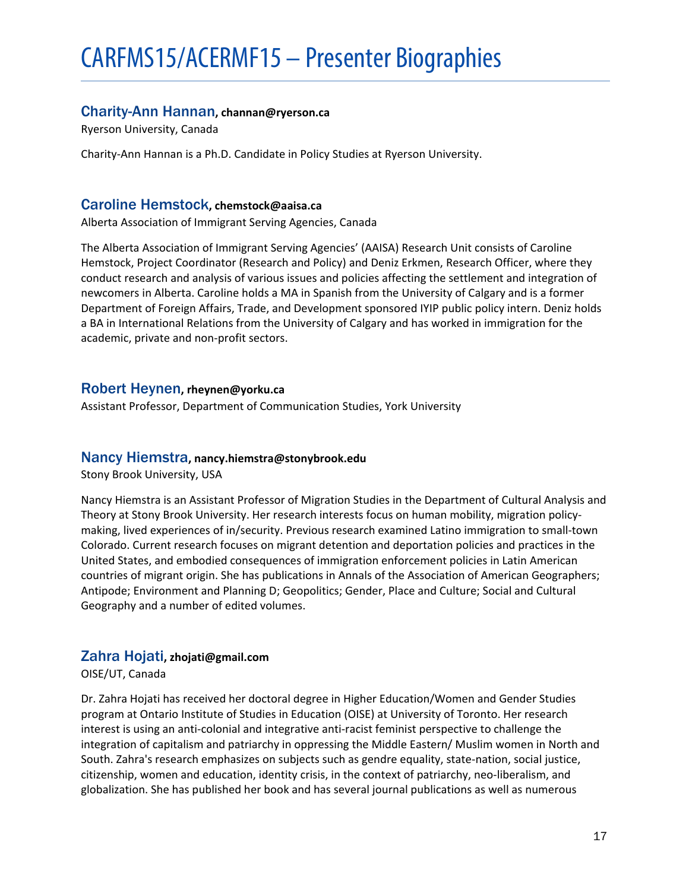# <span id="page-16-0"></span>Charity-Ann Hannan**, channan@ryerson.ca**

Ryerson University, Canada

Charity-Ann Hannan is a Ph.D. Candidate in Policy Studies at Ryerson University.

# <span id="page-16-1"></span>Caroline Hemstock**, chemstock@aaisa.ca**

Alberta Association of Immigrant Serving Agencies, Canada

The Alberta Association of Immigrant Serving Agencies' (AAISA) Research Unit consists of Caroline Hemstock, Project Coordinator (Research and Policy) and Deniz Erkmen, Research Officer, where they conduct research and analysis of various issues and policies affecting the settlement and integration of newcomers in Alberta. Caroline holds a MA in Spanish from the University of Calgary and is a former Department of Foreign Affairs, Trade, and Development sponsored IYIP public policy intern. Deniz holds a BA in International Relations from the University of Calgary and has worked in immigration for the academic, private and non-profit sectors.

# <span id="page-16-2"></span>Robert Heynen**, rheynen@yorku.ca**

Assistant Professor, Department of Communication Studies, York University

# <span id="page-16-3"></span>Nancy Hiemstra**, nancy.hiemstra@stonybrook.edu**

Stony Brook University, USA

Nancy Hiemstra is an Assistant Professor of Migration Studies in the Department of Cultural Analysis and Theory at Stony Brook University. Her research interests focus on human mobility, migration policymaking, lived experiences of in/security. Previous research examined Latino immigration to small-town Colorado. Current research focuses on migrant detention and deportation policies and practices in the United States, and embodied consequences of immigration enforcement policies in Latin American countries of migrant origin. She has publications in Annals of the Association of American Geographers; Antipode; Environment and Planning D; Geopolitics; Gender, Place and Culture; Social and Cultural Geography and a number of edited volumes.

# <span id="page-16-4"></span>Zahra Hojati**, zhojati@gmail.com**

OISE/UT, Canada

Dr. Zahra Hojati has received her doctoral degree in Higher Education/Women and Gender Studies program at Ontario Institute of Studies in Education (OISE) at University of Toronto. Her research interest is using an anti-colonial and integrative anti-racist feminist perspective to challenge the integration of capitalism and patriarchy in oppressing the Middle Eastern/ Muslim women in North and South. Zahra's research emphasizes on subjects such as gendre equality, state-nation, social justice, citizenship, women and education, identity crisis, in the context of patriarchy, neo-liberalism, and globalization. She has published her book and has several journal publications as well as numerous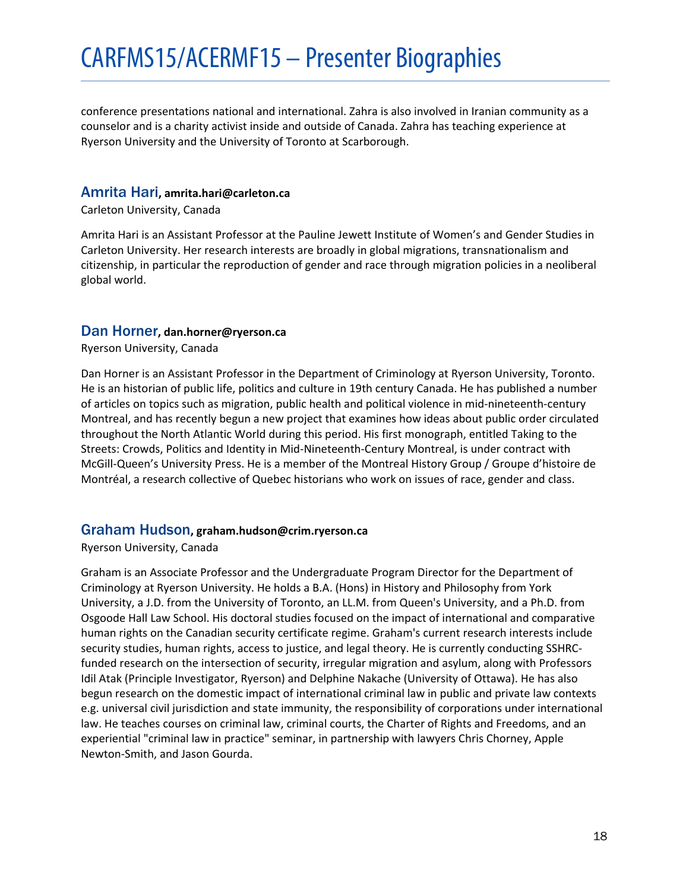conference presentations national and international. Zahra is also involved in Iranian community as a counselor and is a charity activist inside and outside of Canada. Zahra has teaching experience at Ryerson University and the University of Toronto at Scarborough.

# <span id="page-17-0"></span>Amrita Hari**, amrita.hari@carleton.ca**

Carleton University, Canada

Amrita Hari is an Assistant Professor at the Pauline Jewett Institute of Women's and Gender Studies in Carleton University. Her research interests are broadly in global migrations, transnationalism and citizenship, in particular the reproduction of gender and race through migration policies in a neoliberal global world.

# <span id="page-17-1"></span>Dan Horner**, dan.horner@ryerson.ca**

Ryerson University, Canada

Dan Horner is an Assistant Professor in the Department of Criminology at Ryerson University, Toronto. He is an historian of public life, politics and culture in 19th century Canada. He has published a number of articles on topics such as migration, public health and political violence in mid-nineteenth-century Montreal, and has recently begun a new project that examines how ideas about public order circulated throughout the North Atlantic World during this period. His first monograph, entitled Taking to the Streets: Crowds, Politics and Identity in Mid-Nineteenth-Century Montreal, is under contract with McGill-Queen's University Press. He is a member of the Montreal History Group / Groupe d'histoire de Montréal, a research collective of Quebec historians who work on issues of race, gender and class.

# <span id="page-17-2"></span>Graham Hudson**, graham.hudson@crim.ryerson.ca**

Ryerson University, Canada

Graham is an Associate Professor and the Undergraduate Program Director for the Department of Criminology at Ryerson University. He holds a B.A. (Hons) in History and Philosophy from York University, a J.D. from the University of Toronto, an LL.M. from Queen's University, and a Ph.D. from Osgoode Hall Law School. His doctoral studies focused on the impact of international and comparative human rights on the Canadian security certificate regime. Graham's current research interests include security studies, human rights, access to justice, and legal theory. He is currently conducting SSHRCfunded research on the intersection of security, irregular migration and asylum, along with Professors Idil Atak (Principle Investigator, Ryerson) and Delphine Nakache (University of Ottawa). He has also begun research on the domestic impact of international criminal law in public and private law contexts e.g. universal civil jurisdiction and state immunity, the responsibility of corporations under international law. He teaches courses on criminal law, criminal courts, the Charter of Rights and Freedoms, and an experiential "criminal law in practice" seminar, in partnership with lawyers Chris Chorney, Apple Newton-Smith, and Jason Gourda.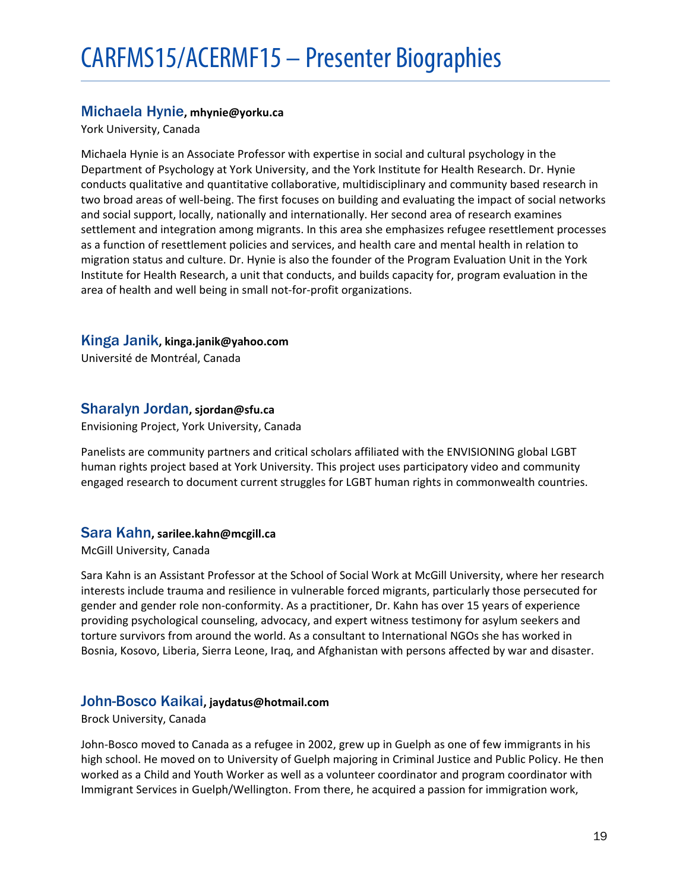# <span id="page-18-0"></span>Michaela Hynie**, mhynie@yorku.ca**

York University, Canada

Michaela Hynie is an Associate Professor with expertise in social and cultural psychology in the Department of Psychology at York University, and the York Institute for Health Research. Dr. Hynie conducts qualitative and quantitative collaborative, multidisciplinary and community based research in two broad areas of well-being. The first focuses on building and evaluating the impact of social networks and social support, locally, nationally and internationally. Her second area of research examines settlement and integration among migrants. In this area she emphasizes refugee resettlement processes as a function of resettlement policies and services, and health care and mental health in relation to migration status and culture. Dr. Hynie is also the founder of the Program Evaluation Unit in the York Institute for Health Research, a unit that conducts, and builds capacity for, program evaluation in the area of health and well being in small not-for-profit organizations.

# <span id="page-18-1"></span>Kinga Janik**, kinga.janik@yahoo.com**

Université de Montréal, Canada

# <span id="page-18-2"></span>Sharalyn Jordan**, sjordan@sfu.ca**

Envisioning Project, York University, Canada

Panelists are community partners and critical scholars affiliated with the ENVISIONING global LGBT human rights project based at York University. This project uses participatory video and community engaged research to document current struggles for LGBT human rights in commonwealth countries.

# <span id="page-18-3"></span>Sara Kahn**, sarilee.kahn@mcgill.ca**

McGill University, Canada

Sara Kahn is an Assistant Professor at the School of Social Work at McGill University, where her research interests include trauma and resilience in vulnerable forced migrants, particularly those persecuted for gender and gender role non-conformity. As a practitioner, Dr. Kahn has over 15 years of experience providing psychological counseling, advocacy, and expert witness testimony for asylum seekers and torture survivors from around the world. As a consultant to International NGOs she has worked in Bosnia, Kosovo, Liberia, Sierra Leone, Iraq, and Afghanistan with persons affected by war and disaster.

# <span id="page-18-4"></span>John-Bosco Kaikai**, jaydatus@hotmail.com**

Brock University, Canada

John-Bosco moved to Canada as a refugee in 2002, grew up in Guelph as one of few immigrants in his high school. He moved on to University of Guelph majoring in Criminal Justice and Public Policy. He then worked as a Child and Youth Worker as well as a volunteer coordinator and program coordinator with Immigrant Services in Guelph/Wellington. From there, he acquired a passion for immigration work,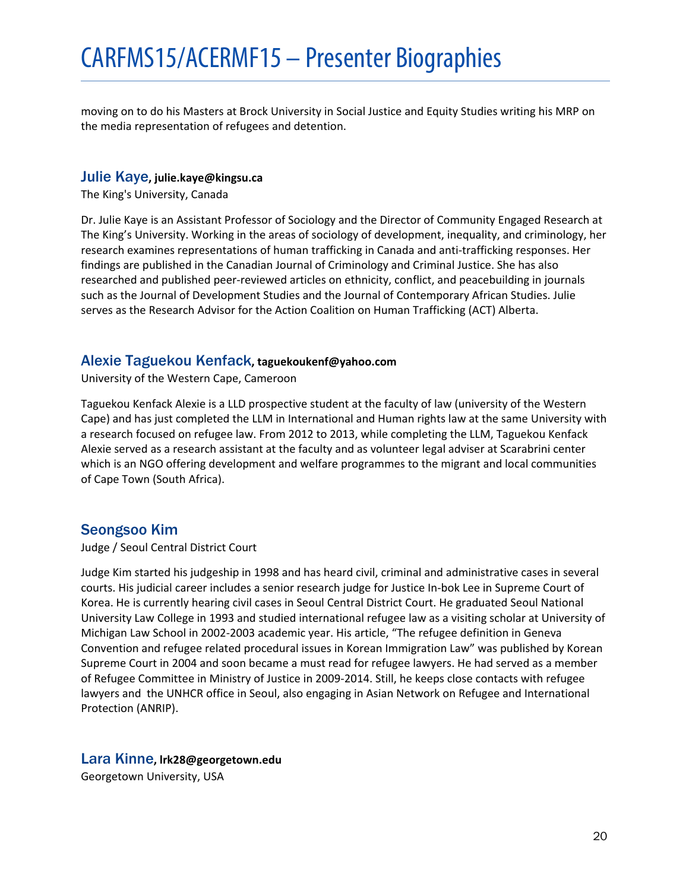moving on to do his Masters at Brock University in Social Justice and Equity Studies writing his MRP on the media representation of refugees and detention.

# <span id="page-19-0"></span>Julie Kaye**, julie.kaye@kingsu.ca**

The King's University, Canada

Dr. Julie Kaye is an Assistant Professor of Sociology and the Director of Community Engaged Research at The King's University. Working in the areas of sociology of development, inequality, and criminology, her research examines representations of human trafficking in Canada and anti-trafficking responses. Her findings are published in the Canadian Journal of Criminology and Criminal Justice. She has also researched and published peer-reviewed articles on ethnicity, conflict, and peacebuilding in journals such as the Journal of Development Studies and the Journal of Contemporary African Studies. Julie serves as the Research Advisor for the Action Coalition on Human Trafficking (ACT) Alberta.

# <span id="page-19-1"></span>Alexie Taguekou Kenfack**, taguekoukenf@yahoo.com**

University of the Western Cape, Cameroon

Taguekou Kenfack Alexie is a LLD prospective student at the faculty of law (university of the Western Cape) and has just completed the LLM in International and Human rights law at the same University with a research focused on refugee law. From 2012 to 2013, while completing the LLM, Taguekou Kenfack Alexie served as a research assistant at the faculty and as volunteer legal adviser at Scarabrini center which is an NGO offering development and welfare programmes to the migrant and local communities of Cape Town (South Africa).

# <span id="page-19-2"></span>Seongsoo Kim

Judge / Seoul Central District Court

Judge Kim started his judgeship in 1998 and has heard civil, criminal and administrative cases in several courts. His judicial career includes a senior research judge for Justice In-bok Lee in Supreme Court of Korea. He is currently hearing civil cases in Seoul Central District Court. He graduated Seoul National University Law College in 1993 and studied international refugee law as a visiting scholar at University of Michigan Law School in 2002-2003 academic year. His article, "The refugee definition in Geneva Convention and refugee related procedural issues in Korean Immigration Law" was published by Korean Supreme Court in 2004 and soon became a must read for refugee lawyers. He had served as a member of Refugee Committee in Ministry of Justice in 2009-2014. Still, he keeps close contacts with refugee lawyers and the UNHCR office in Seoul, also engaging in Asian Network on Refugee and International Protection (ANRIP).

# <span id="page-19-3"></span>Lara Kinne**, lrk28@georgetown.edu**

Georgetown University, USA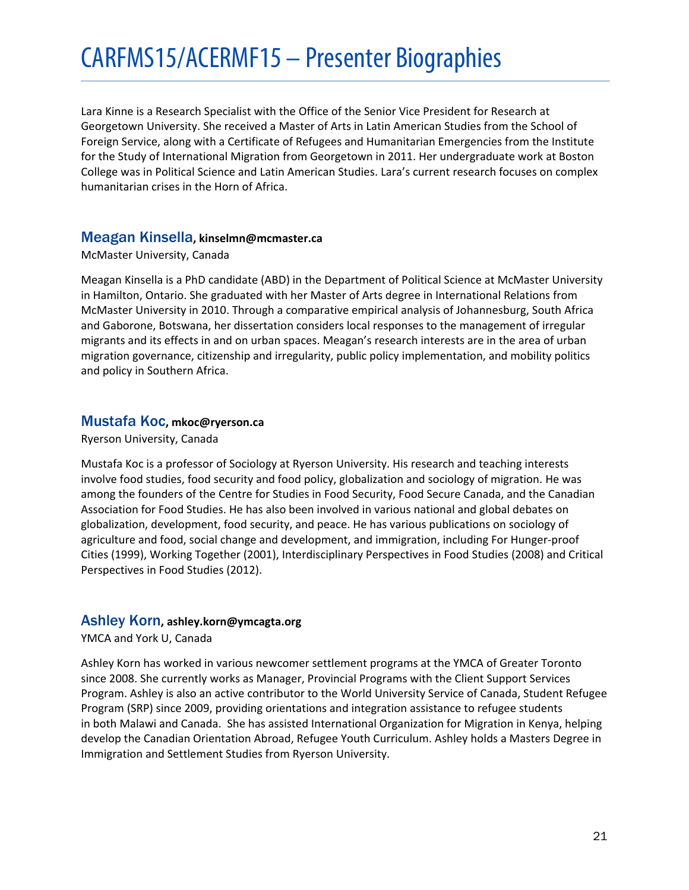Lara Kinne is a Research Specialist with the Office of the Senior Vice President for Research at Georgetown University. She received a Master of Arts in Latin American Studies from the School of Foreign Service, along with a Certificate of Refugees and Humanitarian Emergencies from the Institute for the Study of International Migration from Georgetown in 2011. Her undergraduate work at Boston College was in Political Science and Latin American Studies. Lara's current research focuses on complex humanitarian crises in the Horn of Africa.

# <span id="page-20-0"></span>Meagan Kinsella**, kinselmn@mcmaster.ca**

McMaster University, Canada

Meagan Kinsella is a PhD candidate (ABD) in the Department of Political Science at McMaster University in Hamilton, Ontario. She graduated with her Master of Arts degree in International Relations from McMaster University in 2010. Through a comparative empirical analysis of Johannesburg, South Africa and Gaborone, Botswana, her dissertation considers local responses to the management of irregular migrants and its effects in and on urban spaces. Meagan's research interests are in the area of urban migration governance, citizenship and irregularity, public policy implementation, and mobility politics and policy in Southern Africa.

# <span id="page-20-1"></span>Mustafa Koc**, mkoc@ryerson.ca**

Ryerson University, Canada

Mustafa Koc is a professor of Sociology at Ryerson University. His research and teaching interests involve food studies, food security and food policy, globalization and sociology of migration. He was among the founders of the Centre for Studies in Food Security, Food Secure Canada, and the Canadian Association for Food Studies. He has also been involved in various national and global debates on globalization, development, food security, and peace. He has various publications on sociology of agriculture and food, social change and development, and immigration, including For Hunger-proof Cities (1999), Working Together (2001), Interdisciplinary Perspectives in Food Studies (2008) and Critical Perspectives in Food Studies (2012).

# <span id="page-20-2"></span>Ashley Korn**, ashley.korn@ymcagta.org**

YMCA and York U, Canada

Ashley Korn has worked in various newcomer settlement programs at the YMCA of Greater Toronto since 2008. She currently works as Manager, Provincial Programs with the Client Support Services Program. Ashley is also an active contributor to the World University Service of Canada, Student Refugee Program (SRP) since 2009, providing orientations and integration assistance to refugee students in both Malawi and Canada. She has assisted International Organization for Migration in Kenya, helping develop the Canadian Orientation Abroad, Refugee Youth Curriculum. Ashley holds a Masters Degree in Immigration and Settlement Studies from Ryerson University.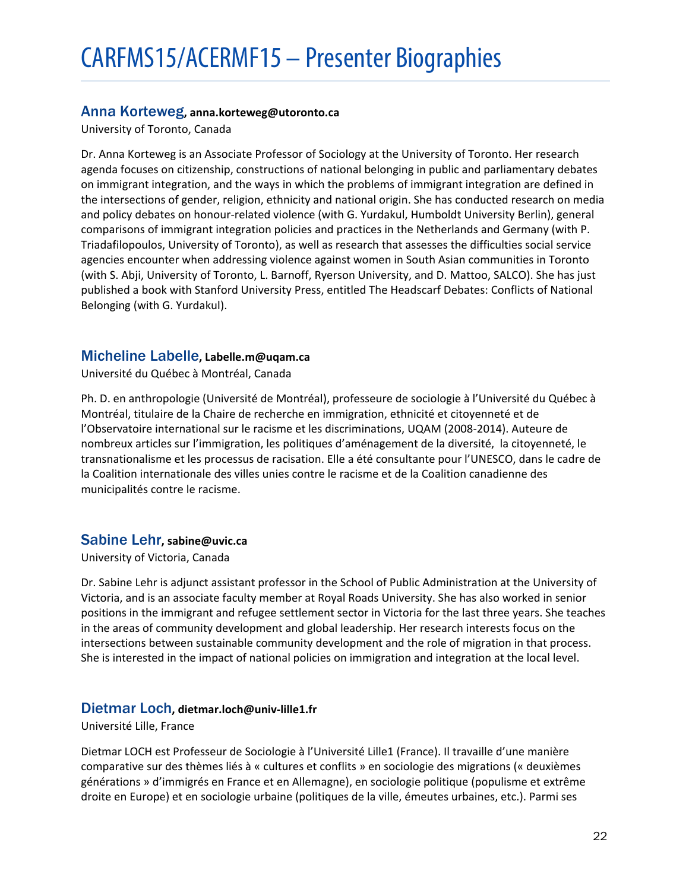# <span id="page-21-0"></span>Anna Korteweg**, anna.korteweg@utoronto.ca**

University of Toronto, Canada

Dr. Anna Korteweg is an Associate Professor of Sociology at the University of Toronto. Her research agenda focuses on citizenship, constructions of national belonging in public and parliamentary debates on immigrant integration, and the ways in which the problems of immigrant integration are defined in the intersections of gender, religion, ethnicity and national origin. She has conducted research on media and policy debates on honour-related violence (with G. Yurdakul, Humboldt University Berlin), general comparisons of immigrant integration policies and practices in the Netherlands and Germany (with P. Triadafilopoulos, University of Toronto), as well as research that assesses the difficulties social service agencies encounter when addressing violence against women in South Asian communities in Toronto (with S. Abji, University of Toronto, L. Barnoff, Ryerson University, and D. Mattoo, SALCO). She has just published a book with Stanford University Press, entitled The Headscarf Debates: Conflicts of National Belonging (with G. Yurdakul).

# <span id="page-21-1"></span>Micheline Labelle**, Labelle.m@uqam.ca**

Université du Québec à Montréal, Canada

Ph. D. en anthropologie (Université de Montréal), professeure de sociologie à l'Université du Québec à Montréal, titulaire de la Chaire de recherche en immigration, ethnicité et citoyenneté et de l'Observatoire international sur le racisme et les discriminations, UQAM (2008-2014). Auteure de nombreux articles sur l'immigration, les politiques d'aménagement de la diversité, la citoyenneté, le transnationalisme et les processus de racisation. Elle a été consultante pour l'UNESCO, dans le cadre de la Coalition internationale des villes unies contre le racisme et de la Coalition canadienne des municipalités contre le racisme.

# <span id="page-21-2"></span>Sabine Lehr**, sabine@uvic.ca**

University of Victoria, Canada

Dr. Sabine Lehr is adjunct assistant professor in the School of Public Administration at the University of Victoria, and is an associate faculty member at Royal Roads University. She has also worked in senior positions in the immigrant and refugee settlement sector in Victoria for the last three years. She teaches in the areas of community development and global leadership. Her research interests focus on the intersections between sustainable community development and the role of migration in that process. She is interested in the impact of national policies on immigration and integration at the local level.

# <span id="page-21-3"></span>Dietmar Loch**, dietmar.loch@univ-lille1.fr**

Université Lille, France

Dietmar LOCH est Professeur de Sociologie à l'Université Lille1 (France). Il travaille d'une manière comparative sur des thèmes liés à « cultures et conflits » en sociologie des migrations (« deuxièmes générations » d'immigrés en France et en Allemagne), en sociologie politique (populisme et extrême droite en Europe) et en sociologie urbaine (politiques de la ville, émeutes urbaines, etc.). Parmi ses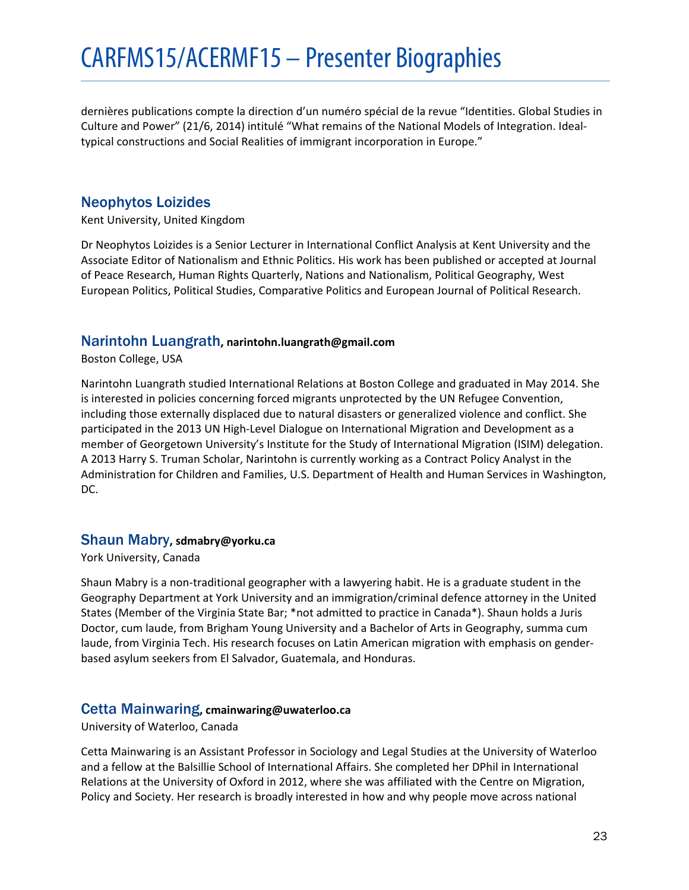dernières publications compte la direction d'un numéro spécial de la revue "Identities. Global Studies in Culture and Power" (21/6, 2014) intitulé "What remains of the National Models of Integration. Idealtypical constructions and Social Realities of immigrant incorporation in Europe."

# <span id="page-22-0"></span>Neophytos Loizides

Kent University, United Kingdom

Dr Neophytos Loizides is a Senior Lecturer in International Conflict Analysis at Kent University and the Associate Editor of Nationalism and Ethnic Politics. His work has been published or accepted at Journal of Peace Research, Human Rights Quarterly, Nations and Nationalism, Political Geography, West European Politics, Political Studies, Comparative Politics and European Journal of Political Research.

# <span id="page-22-1"></span>Narintohn Luangrath**, narintohn.luangrath@gmail.com**

Boston College, USA

Narintohn Luangrath studied International Relations at Boston College and graduated in May 2014. She is interested in policies concerning forced migrants unprotected by the UN Refugee Convention, including those externally displaced due to natural disasters or generalized violence and conflict. She participated in the 2013 UN High-Level Dialogue on International Migration and Development as a member of Georgetown University's Institute for the Study of International Migration (ISIM) delegation. A 2013 Harry S. Truman Scholar, Narintohn is currently working as a Contract Policy Analyst in the Administration for Children and Families, U.S. Department of Health and Human Services in Washington, DC.

# <span id="page-22-2"></span>Shaun Mabry**, sdmabry@yorku.ca**

York University, Canada

Shaun Mabry is a non-traditional geographer with a lawyering habit. He is a graduate student in the Geography Department at York University and an immigration/criminal defence attorney in the United States (Member of the Virginia State Bar; \*not admitted to practice in Canada\*). Shaun holds a Juris Doctor, cum laude, from Brigham Young University and a Bachelor of Arts in Geography, summa cum laude, from Virginia Tech. His research focuses on Latin American migration with emphasis on genderbased asylum seekers from El Salvador, Guatemala, and Honduras.

# <span id="page-22-3"></span>Cetta Mainwaring**, cmainwaring@uwaterloo.ca**

University of Waterloo, Canada

Cetta Mainwaring is an Assistant Professor in Sociology and Legal Studies at the University of Waterloo and a fellow at the Balsillie School of International Affairs. She completed her DPhil in International Relations at the University of Oxford in 2012, where she was affiliated with the Centre on Migration, Policy and Society. Her research is broadly interested in how and why people move across national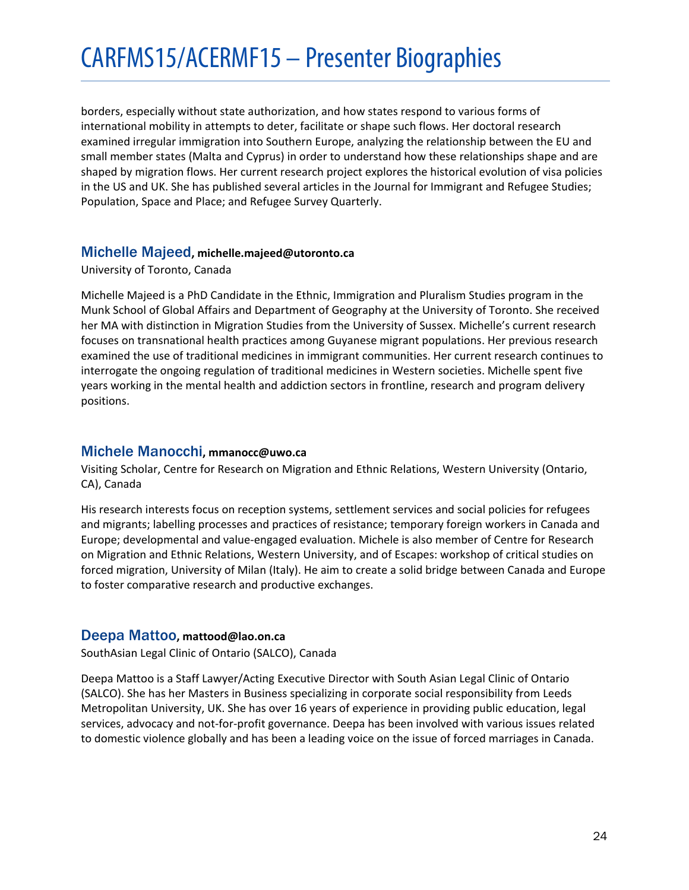borders, especially without state authorization, and how states respond to various forms of international mobility in attempts to deter, facilitate or shape such flows. Her doctoral research examined irregular immigration into Southern Europe, analyzing the relationship between the EU and small member states (Malta and Cyprus) in order to understand how these relationships shape and are shaped by migration flows. Her current research project explores the historical evolution of visa policies in the US and UK. She has published several articles in the Journal for Immigrant and Refugee Studies; Population, Space and Place; and Refugee Survey Quarterly.

# <span id="page-23-0"></span>Michelle Majeed**, michelle.majeed@utoronto.ca**

#### University of Toronto, Canada

Michelle Majeed is a PhD Candidate in the Ethnic, Immigration and Pluralism Studies program in the Munk School of Global Affairs and Department of Geography at the University of Toronto. She received her MA with distinction in Migration Studies from the University of Sussex. Michelle's current research focuses on transnational health practices among Guyanese migrant populations. Her previous research examined the use of traditional medicines in immigrant communities. Her current research continues to interrogate the ongoing regulation of traditional medicines in Western societies. Michelle spent five years working in the mental health and addiction sectors in frontline, research and program delivery positions.

# <span id="page-23-1"></span>Michele Manocchi**, mmanocc@uwo.ca**

Visiting Scholar, Centre for Research on Migration and Ethnic Relations, Western University (Ontario, CA), Canada

His research interests focus on reception systems, settlement services and social policies for refugees and migrants; labelling processes and practices of resistance; temporary foreign workers in Canada and Europe; developmental and value-engaged evaluation. Michele is also member of Centre for Research on Migration and Ethnic Relations, Western University, and of Escapes: workshop of critical studies on forced migration, University of Milan (Italy). He aim to create a solid bridge between Canada and Europe to foster comparative research and productive exchanges.

# <span id="page-23-2"></span>Deepa Mattoo**, mattood@lao.on.ca**

SouthAsian Legal Clinic of Ontario (SALCO), Canada

Deepa Mattoo is a Staff Lawyer/Acting Executive Director with South Asian Legal Clinic of Ontario (SALCO). She has her Masters in Business specializing in corporate social responsibility from Leeds Metropolitan University, UK. She has over 16 years of experience in providing public education, legal services, advocacy and not-for-profit governance. Deepa has been involved with various issues related to domestic violence globally and has been a leading voice on the issue of forced marriages in Canada.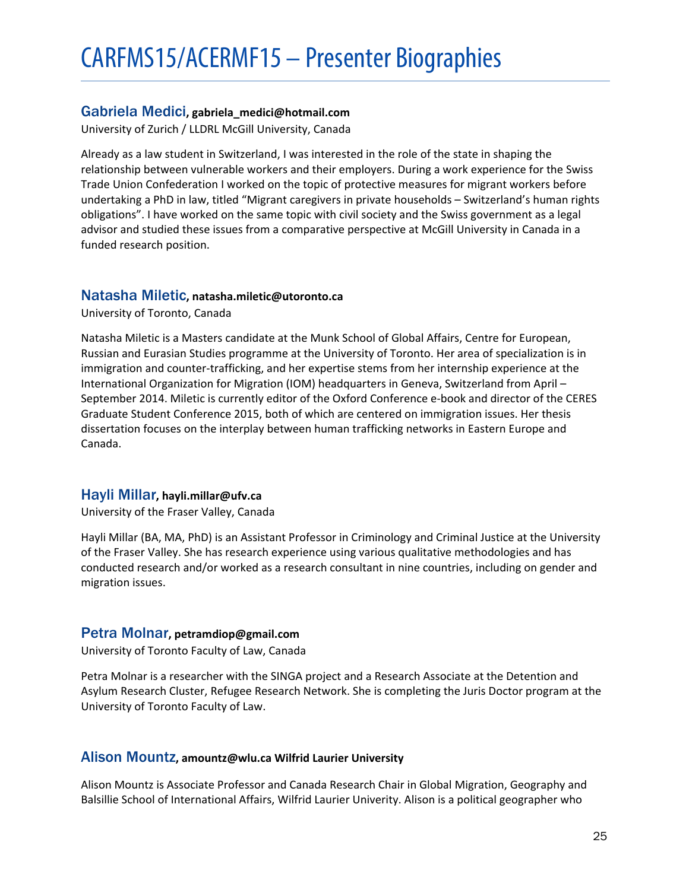# <span id="page-24-0"></span>Gabriela Medici**, gabriela\_medici@hotmail.com**

University of Zurich / LLDRL McGill University, Canada

Already as a law student in Switzerland, I was interested in the role of the state in shaping the relationship between vulnerable workers and their employers. During a work experience for the Swiss Trade Union Confederation I worked on the topic of protective measures for migrant workers before undertaking a PhD in law, titled "Migrant caregivers in private households – Switzerland's human rights obligations". I have worked on the same topic with civil society and the Swiss government as a legal advisor and studied these issues from a comparative perspective at McGill University in Canada in a funded research position.

# <span id="page-24-1"></span>Natasha Miletic**, natasha.miletic@utoronto.ca**

University of Toronto, Canada

Natasha Miletic is a Masters candidate at the Munk School of Global Affairs, Centre for European, Russian and Eurasian Studies programme at the University of Toronto. Her area of specialization is in immigration and counter-trafficking, and her expertise stems from her internship experience at the International Organization for Migration (IOM) headquarters in Geneva, Switzerland from April – September 2014. Miletic is currently editor of the Oxford Conference e-book and director of the CERES Graduate Student Conference 2015, both of which are centered on immigration issues. Her thesis dissertation focuses on the interplay between human trafficking networks in Eastern Europe and Canada.

# <span id="page-24-2"></span>Hayli Millar**, hayli.millar@ufv.ca**

University of the Fraser Valley, Canada

Hayli Millar (BA, MA, PhD) is an Assistant Professor in Criminology and Criminal Justice at the University of the Fraser Valley. She has research experience using various qualitative methodologies and has conducted research and/or worked as a research consultant in nine countries, including on gender and migration issues.

# <span id="page-24-3"></span>Petra Molnar**, petramdiop@gmail.com**

University of Toronto Faculty of Law, Canada

Petra Molnar is a researcher with the SINGA project and a Research Associate at the Detention and Asylum Research Cluster, Refugee Research Network. She is completing the Juris Doctor program at the University of Toronto Faculty of Law.

# <span id="page-24-4"></span>Alison Mountz**, amountz@wlu.ca Wilfrid Laurier University**

Alison Mountz is Associate Professor and Canada Research Chair in Global Migration, Geography and Balsillie School of International Affairs, Wilfrid Laurier Univerity. Alison is a political geographer who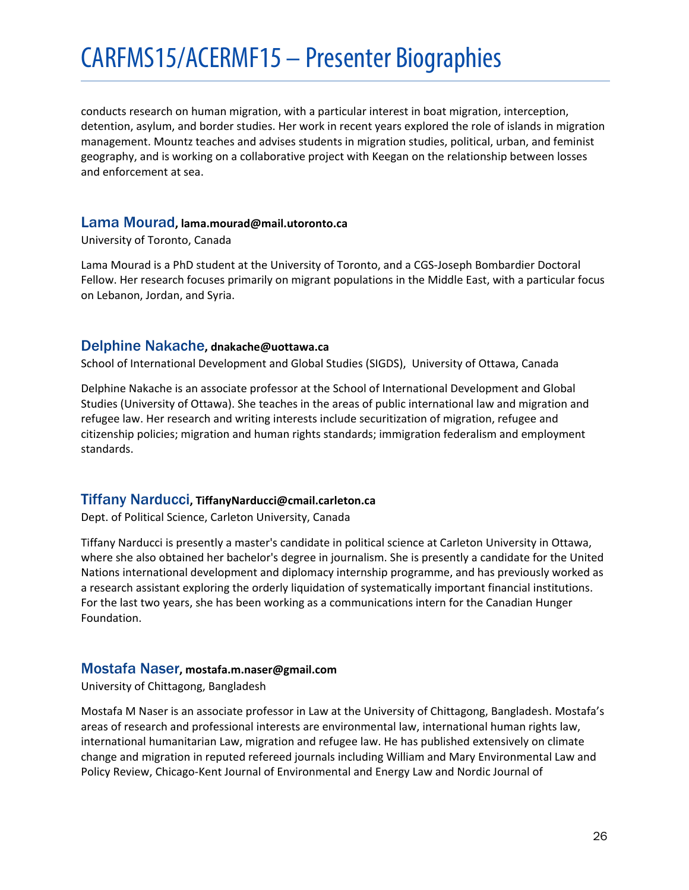conducts research on human migration, with a particular interest in boat migration, interception, detention, asylum, and border studies. Her work in recent years explored the role of islands in migration management. Mountz teaches and advises students in migration studies, political, urban, and feminist geography, and is working on a collaborative project with Keegan on the relationship between losses and enforcement at sea.

#### <span id="page-25-0"></span>Lama Mourad**, lama.mourad@mail.utoronto.ca**

University of Toronto, Canada

Lama Mourad is a PhD student at the University of Toronto, and a CGS-Joseph Bombardier Doctoral Fellow. Her research focuses primarily on migrant populations in the Middle East, with a particular focus on Lebanon, Jordan, and Syria.

# <span id="page-25-1"></span>Delphine Nakache**, dnakache@uottawa.ca**

School of International Development and Global Studies (SIGDS), University of Ottawa, Canada

Delphine Nakache is an associate professor at the School of International Development and Global Studies (University of Ottawa). She teaches in the areas of public international law and migration and refugee law. Her research and writing interests include securitization of migration, refugee and citizenship policies; migration and human rights standards; immigration federalism and employment standards.

# <span id="page-25-2"></span>Tiffany Narducci**, TiffanyNarducci@cmail.carleton.ca**

Dept. of Political Science, Carleton University, Canada

Tiffany Narducci is presently a master's candidate in political science at Carleton University in Ottawa, where she also obtained her bachelor's degree in journalism. She is presently a candidate for the United Nations international development and diplomacy internship programme, and has previously worked as a research assistant exploring the orderly liquidation of systematically important financial institutions. For the last two years, she has been working as a communications intern for the Canadian Hunger Foundation.

# <span id="page-25-3"></span>Mostafa Naser**, mostafa.m.naser@gmail.com**

University of Chittagong, Bangladesh

Mostafa M Naser is an associate professor in Law at the University of Chittagong, Bangladesh. Mostafa's areas of research and professional interests are environmental law, international human rights law, international humanitarian Law, migration and refugee law. He has published extensively on climate change and migration in reputed refereed journals including William and Mary Environmental Law and Policy Review, Chicago-Kent Journal of Environmental and Energy Law and Nordic Journal of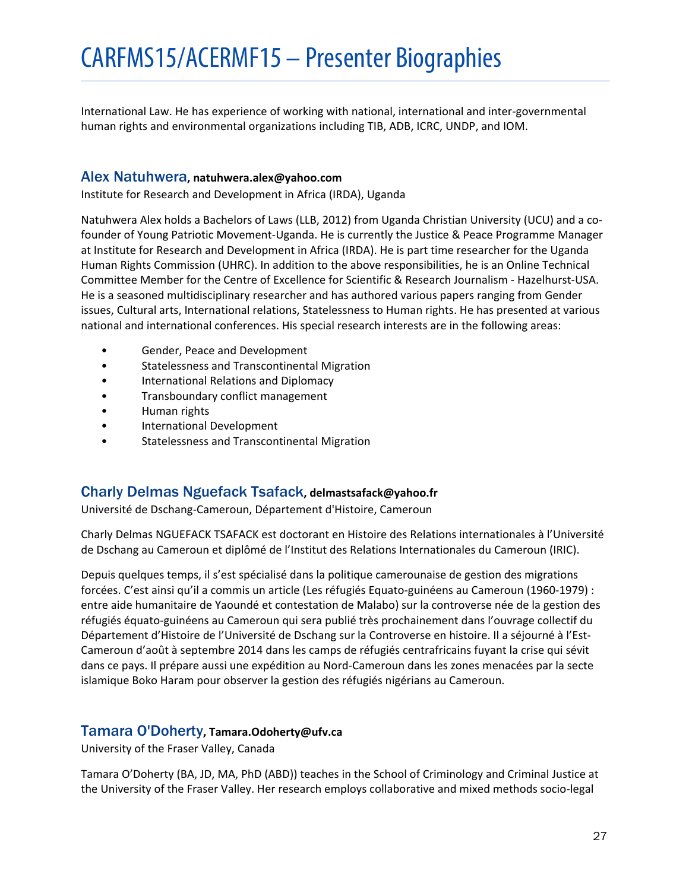International Law. He has experience of working with national, international and inter-governmental human rights and environmental organizations including TIB, ADB, ICRC, UNDP, and IOM.

# <span id="page-26-0"></span>Alex Natuhwera**, natuhwera.alex@yahoo.com**

Institute for Research and Development in Africa (IRDA), Uganda

Natuhwera Alex holds a Bachelors of Laws (LLB, 2012) from Uganda Christian University (UCU) and a cofounder of Young Patriotic Movement-Uganda. He is currently the Justice & Peace Programme Manager at Institute for Research and Development in Africa (IRDA). He is part time researcher for the Uganda Human Rights Commission (UHRC). In addition to the above responsibilities, he is an Online Technical Committee Member for the Centre of Excellence for Scientific & Research Journalism - Hazelhurst-USA. He is a seasoned multidisciplinary researcher and has authored various papers ranging from Gender issues, Cultural arts, International relations, Statelessness to Human rights. He has presented at various national and international conferences. His special research interests are in the following areas:

- Gender, Peace and Development
- Statelessness and Transcontinental Migration
- International Relations and Diplomacy
- Transboundary conflict management
- Human rights
- International Development
- Statelessness and Transcontinental Migration

# <span id="page-26-1"></span>Charly Delmas Nguefack Tsafack**, delmastsafack@yahoo.fr**

Université de Dschang-Cameroun, Département d'Histoire, Cameroun

Charly Delmas NGUEFACK TSAFACK est doctorant en Histoire des Relations internationales à l'Université de Dschang au Cameroun et diplômé de l'Institut des Relations Internationales du Cameroun (IRIC).

Depuis quelques temps, il s'est spécialisé dans la politique camerounaise de gestion des migrations forcées. C'est ainsi qu'il a commis un article (Les réfugiés Equato-guinéens au Cameroun (1960-1979) : entre aide humanitaire de Yaoundé et contestation de Malabo) sur la controverse née de la gestion des réfugiés équato-guinéens au Cameroun qui sera publié très prochainement dans l'ouvrage collectif du Département d'Histoire de l'Université de Dschang sur la Controverse en histoire. Il a séjourné à l'Est-Cameroun d'août à septembre 2014 dans les camps de réfugiés centrafricains fuyant la crise qui sévit dans ce pays. Il prépare aussi une expédition au Nord-Cameroun dans les zones menacées par la secte islamique Boko Haram pour observer la gestion des réfugiés nigérians au Cameroun.

# <span id="page-26-2"></span>Tamara O'Doherty**, Tamara.Odoherty@ufv.ca**

University of the Fraser Valley, Canada

Tamara O'Doherty (BA, JD, MA, PhD (ABD)) teaches in the School of Criminology and Criminal Justice at the University of the Fraser Valley. Her research employs collaborative and mixed methods socio-legal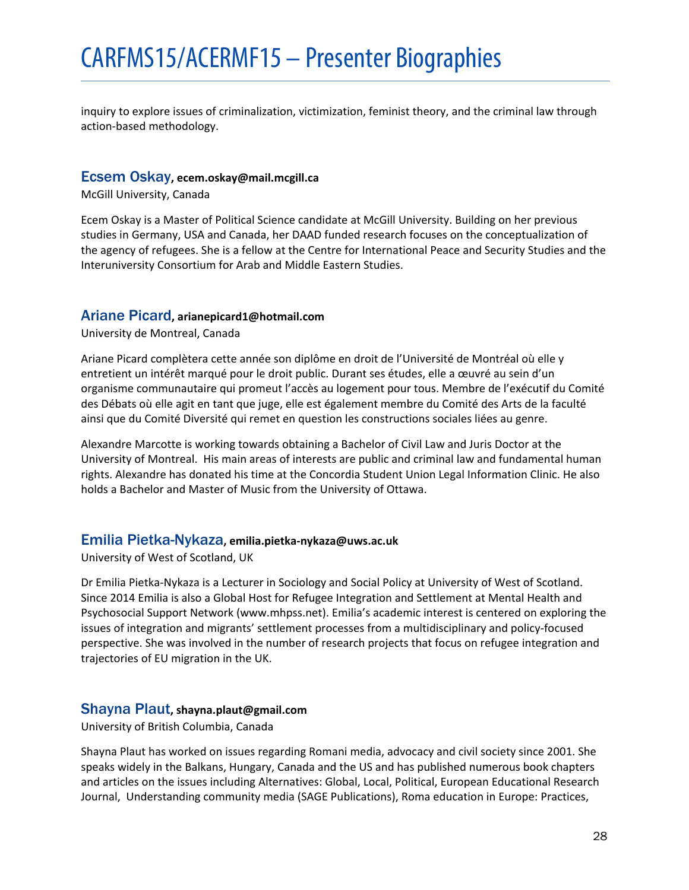inquiry to explore issues of criminalization, victimization, feminist theory, and the criminal law through action-based methodology.

#### <span id="page-27-0"></span>Ecsem Oskay**, ecem.oskay@mail.mcgill.ca**

McGill University, Canada

Ecem Oskay is a Master of Political Science candidate at McGill University. Building on her previous studies in Germany, USA and Canada, her DAAD funded research focuses on the conceptualization of the agency of refugees. She is a fellow at the Centre for International Peace and Security Studies and the Interuniversity Consortium for Arab and Middle Eastern Studies.

#### <span id="page-27-1"></span>Ariane Picard**, arianepicard1@hotmail.com**

University de Montreal, Canada

Ariane Picard complètera cette année son diplôme en droit de l'Université de Montréal où elle y entretient un intérêt marqué pour le droit public. Durant ses études, elle a œuvré au sein d'un organisme communautaire qui promeut l'accès au logement pour tous. Membre de l'exécutif du Comité des Débats où elle agit en tant que juge, elle est également membre du Comité des Arts de la faculté ainsi que du Comité Diversité qui remet en question les constructions sociales liées au genre.

Alexandre Marcotte is working towards obtaining a Bachelor of Civil Law and Juris Doctor at the University of Montreal. His main areas of interests are public and criminal law and fundamental human rights. Alexandre has donated his time at the Concordia Student Union Legal Information Clinic. He also holds a Bachelor and Master of Music from the University of Ottawa.

# <span id="page-27-2"></span>Emilia Pietka-Nykaza**, emilia.pietka-nykaza@uws.ac.uk**

University of West of Scotland, UK

Dr Emilia Pietka-Nykaza is a Lecturer in Sociology and Social Policy at University of West of Scotland. Since 2014 Emilia is also a Global Host for Refugee Integration and Settlement at Mental Health and Psychosocial Support Network (www.mhpss.net). Emilia's academic interest is centered on exploring the issues of integration and migrants' settlement processes from a multidisciplinary and policy-focused perspective. She was involved in the number of research projects that focus on refugee integration and trajectories of EU migration in the UK.

# <span id="page-27-3"></span>Shayna Plaut**, shayna.plaut@gmail.com**

University of British Columbia, Canada

Shayna Plaut has worked on issues regarding Romani media, advocacy and civil society since 2001. She speaks widely in the Balkans, Hungary, Canada and the US and has published numerous book chapters and articles on the issues including Alternatives: Global, Local, Political, European Educational Research Journal, Understanding community media (SAGE Publications), Roma education in Europe: Practices,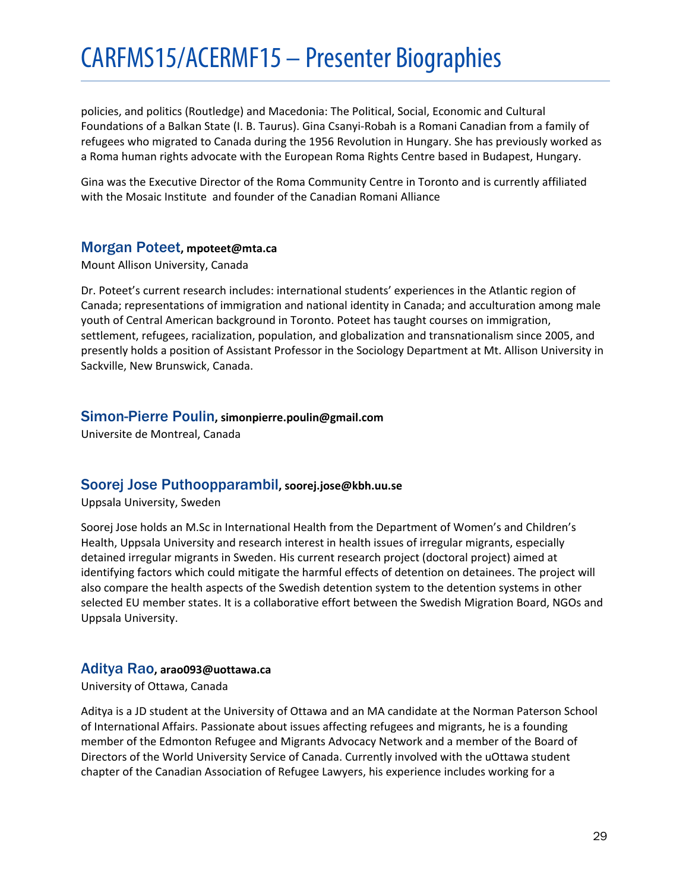policies, and politics (Routledge) and Macedonia: The Political, Social, Economic and Cultural Foundations of a Balkan State (I. B. Taurus). Gina Csanyi-Robah is a Romani Canadian from a family of refugees who migrated to Canada during the 1956 Revolution in Hungary. She has previously worked as a Roma human rights advocate with the European Roma Rights Centre based in Budapest, Hungary.

Gina was the Executive Director of the Roma Community Centre in Toronto and is currently affiliated with the Mosaic Institute and founder of the Canadian Romani Alliance

# <span id="page-28-0"></span>Morgan Poteet**, mpoteet@mta.ca**

Mount Allison University, Canada

Dr. Poteet's current research includes: international students' experiences in the Atlantic region of Canada; representations of immigration and national identity in Canada; and acculturation among male youth of Central American background in Toronto. Poteet has taught courses on immigration, settlement, refugees, racialization, population, and globalization and transnationalism since 2005, and presently holds a position of Assistant Professor in the Sociology Department at Mt. Allison University in Sackville, New Brunswick, Canada.

# <span id="page-28-1"></span>Simon-Pierre Poulin**, simonpierre.poulin@gmail.com**

Universite de Montreal, Canada

# <span id="page-28-2"></span>Soorej Jose Puthoopparambil**, soorej.jose@kbh.uu.se**

Uppsala University, Sweden

Soorej Jose holds an M.Sc in International Health from the Department of Women's and Children's Health, Uppsala University and research interest in health issues of irregular migrants, especially detained irregular migrants in Sweden. His current research project (doctoral project) aimed at identifying factors which could mitigate the harmful effects of detention on detainees. The project will also compare the health aspects of the Swedish detention system to the detention systems in other selected EU member states. It is a collaborative effort between the Swedish Migration Board, NGOs and Uppsala University.

# <span id="page-28-3"></span>Aditya Rao**, arao093@uottawa.ca**

University of Ottawa, Canada

Aditya is a JD student at the University of Ottawa and an MA candidate at the Norman Paterson School of International Affairs. Passionate about issues affecting refugees and migrants, he is a founding member of the Edmonton Refugee and Migrants Advocacy Network and a member of the Board of Directors of the World University Service of Canada. Currently involved with the uOttawa student chapter of the Canadian Association of Refugee Lawyers, his experience includes working for a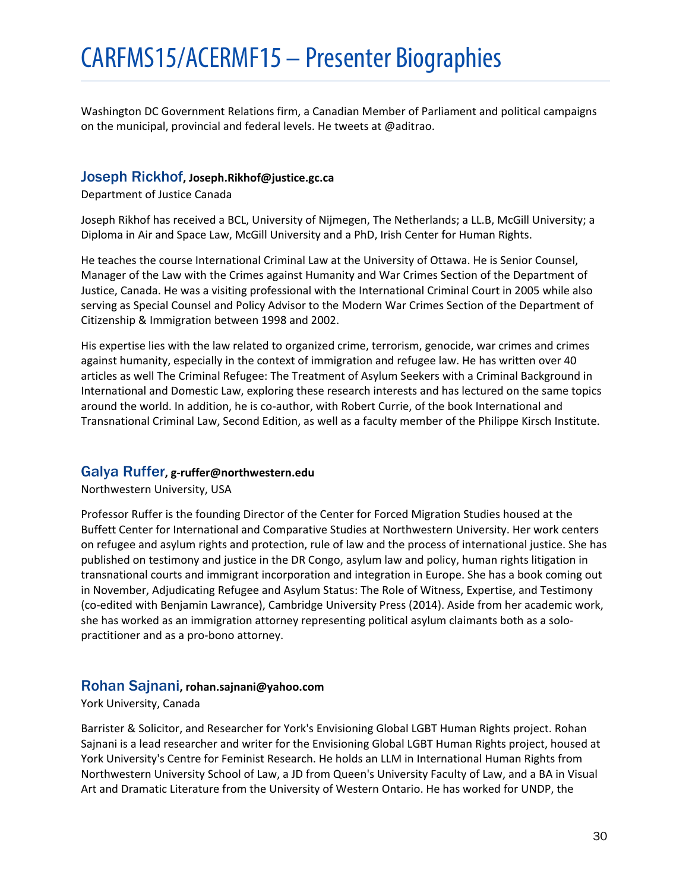Washington DC Government Relations firm, a Canadian Member of Parliament and political campaigns on the municipal, provincial and federal levels. He tweets at @aditrao.

# <span id="page-29-0"></span>Joseph Rickhof**, Joseph.Rikhof@justice.gc.ca**

Department of Justice Canada

Joseph Rikhof has received a BCL, University of Nijmegen, The Netherlands; a LL.B, McGill University; a Diploma in Air and Space Law, McGill University and a PhD, Irish Center for Human Rights.

He teaches the course International Criminal Law at the University of Ottawa. He is Senior Counsel, Manager of the Law with the Crimes against Humanity and War Crimes Section of the Department of Justice, Canada. He was a visiting professional with the International Criminal Court in 2005 while also serving as Special Counsel and Policy Advisor to the Modern War Crimes Section of the Department of Citizenship & Immigration between 1998 and 2002.

His expertise lies with the law related to organized crime, terrorism, genocide, war crimes and crimes against humanity, especially in the context of immigration and refugee law. He has written over 40 articles as well The Criminal Refugee: The Treatment of Asylum Seekers with a Criminal Background in International and Domestic Law, exploring these research interests and has lectured on the same topics around the world. In addition, he is co-author, with Robert Currie, of the book International and Transnational Criminal Law, Second Edition, as well as a faculty member of the Philippe Kirsch Institute.

# <span id="page-29-1"></span>Galya Ruffer**, g-ruffer@northwestern.edu**

Northwestern University, USA

Professor Ruffer is the founding Director of the Center for Forced Migration Studies housed at the Buffett Center for International and Comparative Studies at Northwestern University. Her work centers on refugee and asylum rights and protection, rule of law and the process of international justice. She has published on testimony and justice in the DR Congo, asylum law and policy, human rights litigation in transnational courts and immigrant incorporation and integration in Europe. She has a book coming out in November, Adjudicating Refugee and Asylum Status: The Role of Witness, Expertise, and Testimony (co-edited with Benjamin Lawrance), Cambridge University Press (2014). Aside from her academic work, she has worked as an immigration attorney representing political asylum claimants both as a solopractitioner and as a pro-bono attorney.

# <span id="page-29-2"></span>Rohan Sajnani**, rohan.sajnani@yahoo.com**

#### York University, Canada

Barrister & Solicitor, and Researcher for York's Envisioning Global LGBT Human Rights project. Rohan Sajnani is a lead researcher and writer for the Envisioning Global LGBT Human Rights project, housed at York University's Centre for Feminist Research. He holds an LLM in International Human Rights from Northwestern University School of Law, a JD from Queen's University Faculty of Law, and a BA in Visual Art and Dramatic Literature from the University of Western Ontario. He has worked for UNDP, the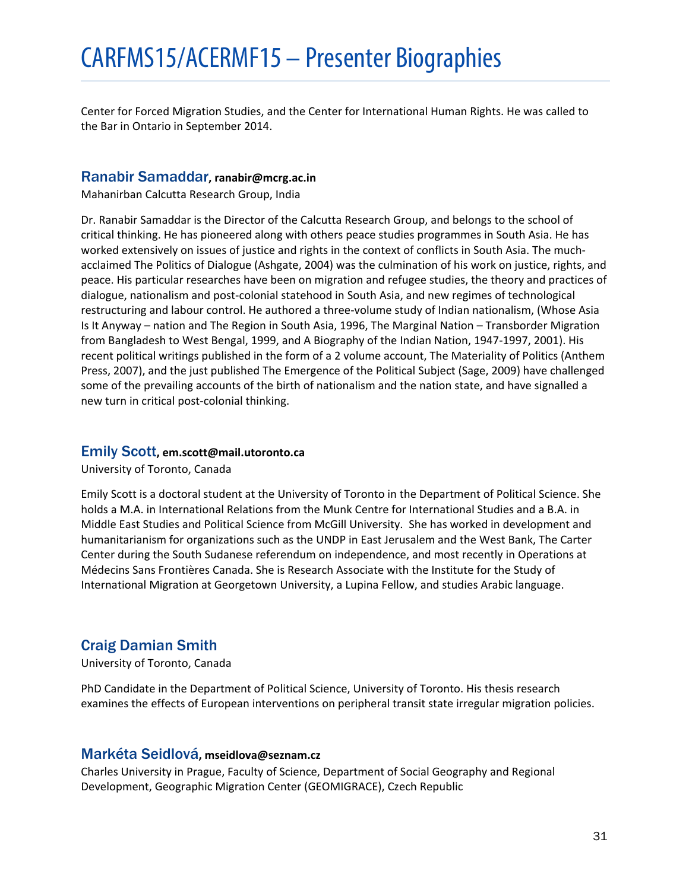Center for Forced Migration Studies, and the Center for International Human Rights. He was called to the Bar in Ontario in September 2014.

# <span id="page-30-0"></span>Ranabir Samaddar**, ranabir@mcrg.ac.in**

Mahanirban Calcutta Research Group, India

Dr. Ranabir Samaddar is the Director of the Calcutta Research Group, and belongs to the school of critical thinking. He has pioneered along with others peace studies programmes in South Asia. He has worked extensively on issues of justice and rights in the context of conflicts in South Asia. The muchacclaimed The Politics of Dialogue (Ashgate, 2004) was the culmination of his work on justice, rights, and peace. His particular researches have been on migration and refugee studies, the theory and practices of dialogue, nationalism and post-colonial statehood in South Asia, and new regimes of technological restructuring and labour control. He authored a three-volume study of Indian nationalism, (Whose Asia Is It Anyway – nation and The Region in South Asia, 1996, The Marginal Nation – Transborder Migration from Bangladesh to West Bengal, 1999, and A Biography of the Indian Nation, 1947-1997, 2001). His recent political writings published in the form of a 2 volume account, The Materiality of Politics (Anthem Press, 2007), and the just published The Emergence of the Political Subject (Sage, 2009) have challenged some of the prevailing accounts of the birth of nationalism and the nation state, and have signalled a new turn in critical post-colonial thinking.

# <span id="page-30-1"></span>Emily Scott**, em.scott@mail.utoronto.ca**

University of Toronto, Canada

Emily Scott is a doctoral student at the University of Toronto in the Department of Political Science. She holds a M.A. in International Relations from the Munk Centre for International Studies and a B.A. in Middle East Studies and Political Science from McGill University. She has worked in development and humanitarianism for organizations such as the UNDP in East Jerusalem and the West Bank, The Carter Center during the South Sudanese referendum on independence, and most recently in Operations at Médecins Sans Frontières Canada. She is Research Associate with the Institute for the Study of International Migration at Georgetown University, a Lupina Fellow, and studies Arabic language.

# <span id="page-30-2"></span>Craig Damian Smith

University of Toronto, Canada

PhD Candidate in the Department of Political Science, University of Toronto. His thesis research examines the effects of European interventions on peripheral transit state irregular migration policies.

# <span id="page-30-3"></span>Markéta Seidlová**, mseidlova@seznam.cz**

Charles University in Prague, Faculty of Science, Department of Social Geography and Regional Development, Geographic Migration Center (GEOMIGRACE), Czech Republic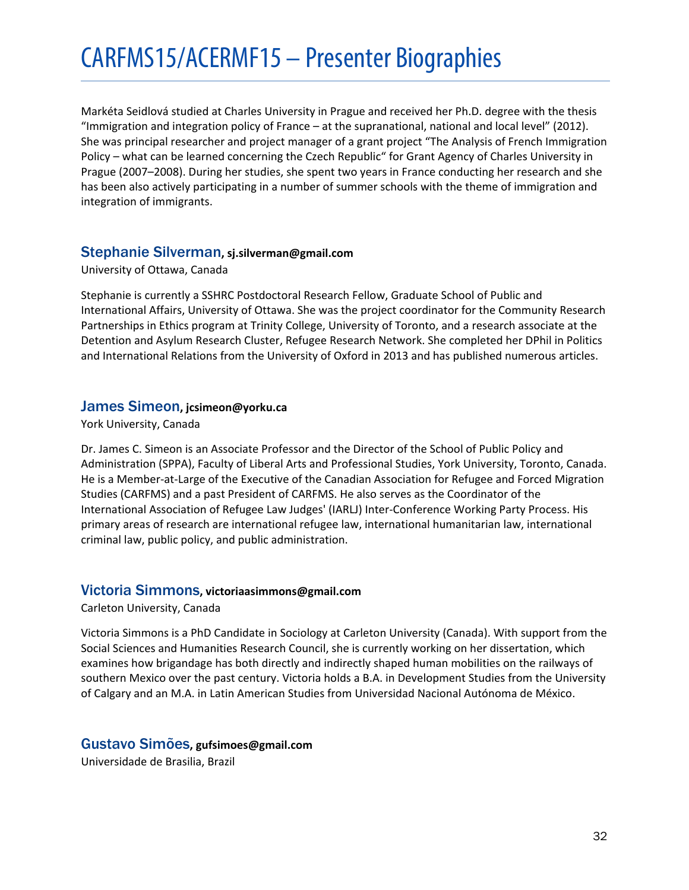Markéta Seidlová studied at Charles University in Prague and received her Ph.D. degree with the thesis "Immigration and integration policy of France – at the supranational, national and local level" (2012). She was principal researcher and project manager of a grant project "The Analysis of French Immigration Policy – what can be learned concerning the Czech Republic" for Grant Agency of Charles University in Prague (2007–2008). During her studies, she spent two years in France conducting her research and she has been also actively participating in a number of summer schools with the theme of immigration and integration of immigrants.

# <span id="page-31-0"></span>Stephanie Silverman**, sj.silverman@gmail.com**

#### University of Ottawa, Canada

Stephanie is currently a SSHRC Postdoctoral Research Fellow, Graduate School of Public and International Affairs, University of Ottawa. She was the project coordinator for the Community Research Partnerships in Ethics program at Trinity College, University of Toronto, and a research associate at the Detention and Asylum Research Cluster, Refugee Research Network. She completed her DPhil in Politics and International Relations from the University of Oxford in 2013 and has published numerous articles.

# <span id="page-31-1"></span>James Simeon**, jcsimeon@yorku.ca**

#### York University, Canada

Dr. James C. Simeon is an Associate Professor and the Director of the School of Public Policy and Administration (SPPA), Faculty of Liberal Arts and Professional Studies, York University, Toronto, Canada. He is a Member-at-Large of the Executive of the Canadian Association for Refugee and Forced Migration Studies (CARFMS) and a past President of CARFMS. He also serves as the Coordinator of the International Association of Refugee Law Judges' (IARLJ) Inter-Conference Working Party Process. His primary areas of research are international refugee law, international humanitarian law, international criminal law, public policy, and public administration.

# <span id="page-31-2"></span>Victoria Simmons**, victoriaasimmons@gmail.com**

Carleton University, Canada

Victoria Simmons is a PhD Candidate in Sociology at Carleton University (Canada). With support from the Social Sciences and Humanities Research Council, she is currently working on her dissertation, which examines how brigandage has both directly and indirectly shaped human mobilities on the railways of southern Mexico over the past century. Victoria holds a B.A. in Development Studies from the University of Calgary and an M.A. in Latin American Studies from Universidad Nacional Autónoma de México.

# <span id="page-31-3"></span>Gustavo Simões**, gufsimoes@gmail.com**

Universidade de Brasilia, Brazil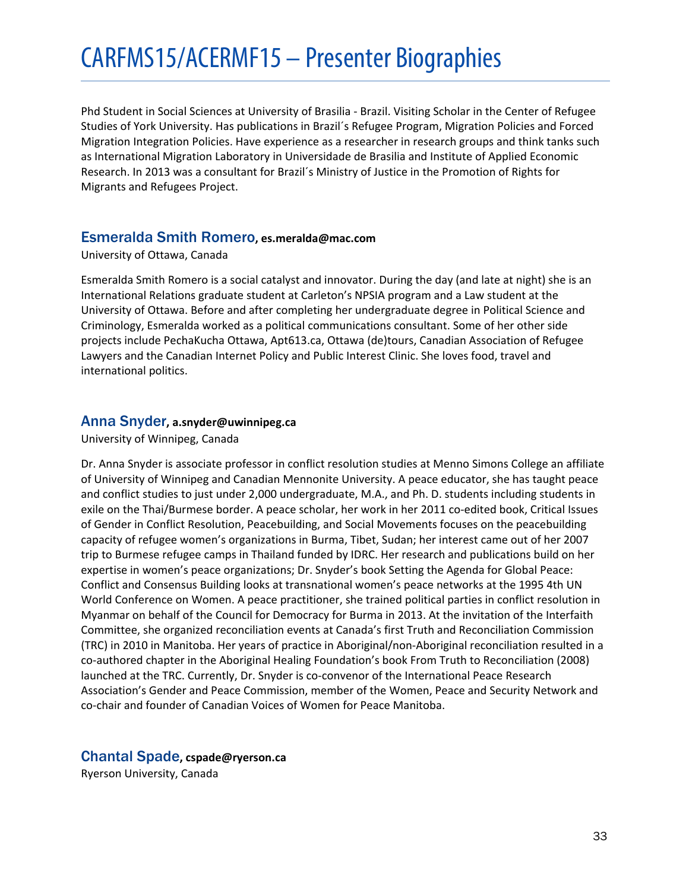Phd Student in Social Sciences at University of Brasilia - Brazil. Visiting Scholar in the Center of Refugee Studies of York University. Has publications in Brazil´s Refugee Program, Migration Policies and Forced Migration Integration Policies. Have experience as a researcher in research groups and think tanks such as International Migration Laboratory in Universidade de Brasilia and Institute of Applied Economic Research. In 2013 was a consultant for Brazil´s Ministry of Justice in the Promotion of Rights for Migrants and Refugees Project.

#### <span id="page-32-0"></span>Esmeralda Smith Romero**, es.meralda@mac.com**

University of Ottawa, Canada

Esmeralda Smith Romero is a social catalyst and innovator. During the day (and late at night) she is an International Relations graduate student at Carleton's NPSIA program and a Law student at the University of Ottawa. Before and after completing her undergraduate degree in Political Science and Criminology, Esmeralda worked as a political communications consultant. Some of her other side projects include PechaKucha Ottawa, Apt613.ca, Ottawa (de)tours, Canadian Association of Refugee Lawyers and the Canadian Internet Policy and Public Interest Clinic. She loves food, travel and international politics.

# <span id="page-32-1"></span>Anna Snyder**, a.snyder@uwinnipeg.ca**

University of Winnipeg, Canada

Dr. Anna Snyder is associate professor in conflict resolution studies at Menno Simons College an affiliate of University of Winnipeg and Canadian Mennonite University. A peace educator, she has taught peace and conflict studies to just under 2,000 undergraduate, M.A., and Ph. D. students including students in exile on the Thai/Burmese border. A peace scholar, her work in her 2011 co-edited book, Critical Issues of Gender in Conflict Resolution, Peacebuilding, and Social Movements focuses on the peacebuilding capacity of refugee women's organizations in Burma, Tibet, Sudan; her interest came out of her 2007 trip to Burmese refugee camps in Thailand funded by IDRC. Her research and publications build on her expertise in women's peace organizations; Dr. Snyder's book Setting the Agenda for Global Peace: Conflict and Consensus Building looks at transnational women's peace networks at the 1995 4th UN World Conference on Women. A peace practitioner, she trained political parties in conflict resolution in Myanmar on behalf of the Council for Democracy for Burma in 2013. At the invitation of the Interfaith Committee, she organized reconciliation events at Canada's first Truth and Reconciliation Commission (TRC) in 2010 in Manitoba. Her years of practice in Aboriginal/non-Aboriginal reconciliation resulted in a co-authored chapter in the Aboriginal Healing Foundation's book From Truth to Reconciliation (2008) launched at the TRC. Currently, Dr. Snyder is co-convenor of the International Peace Research Association's Gender and Peace Commission, member of the Women, Peace and Security Network and co-chair and founder of Canadian Voices of Women for Peace Manitoba.

# <span id="page-32-2"></span>Chantal Spade**, cspade@ryerson.ca**

Ryerson University, Canada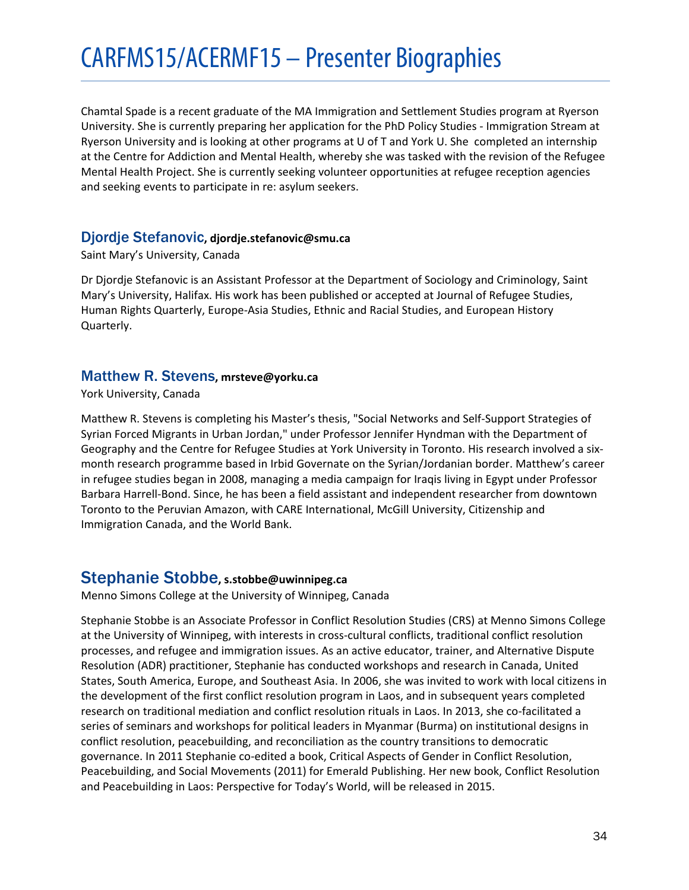Chamtal Spade is a recent graduate of the MA Immigration and Settlement Studies program at Ryerson University. She is currently preparing her application for the PhD Policy Studies - Immigration Stream at Ryerson University and is looking at other programs at U of T and York U. She completed an internship at the Centre for Addiction and Mental Health, whereby she was tasked with the revision of the Refugee Mental Health Project. She is currently seeking volunteer opportunities at refugee reception agencies and seeking events to participate in re: asylum seekers.

# <span id="page-33-0"></span>Djordje Stefanovic**, djordje.stefanovic@smu.ca**

Saint Mary's University, Canada

Dr Djordje Stefanovic is an Assistant Professor at the Department of Sociology and Criminology, Saint Mary's University, Halifax. His work has been published or accepted at Journal of Refugee Studies, Human Rights Quarterly, Europe-Asia Studies, Ethnic and Racial Studies, and European History Quarterly.

# <span id="page-33-1"></span>Matthew R. Stevens**, mrsteve@yorku.ca**

York University, Canada

Matthew R. Stevens is completing his Master's thesis, "Social Networks and Self-Support Strategies of Syrian Forced Migrants in Urban Jordan," under Professor Jennifer Hyndman with the Department of Geography and the Centre for Refugee Studies at York University in Toronto. His research involved a sixmonth research programme based in Irbid Governate on the Syrian/Jordanian border. Matthew's career in refugee studies began in 2008, managing a media campaign for Iraqis living in Egypt under Professor Barbara Harrell-Bond. Since, he has been a field assistant and independent researcher from downtown Toronto to the Peruvian Amazon, with CARE International, McGill University, Citizenship and Immigration Canada, and the World Bank.

# <span id="page-33-2"></span>Stephanie Stobbe**, s.stobbe@uwinnipeg.ca**

Menno Simons College at the University of Winnipeg, Canada

Stephanie Stobbe is an Associate Professor in Conflict Resolution Studies (CRS) at Menno Simons College at the University of Winnipeg, with interests in cross-cultural conflicts, traditional conflict resolution processes, and refugee and immigration issues. As an active educator, trainer, and Alternative Dispute Resolution (ADR) practitioner, Stephanie has conducted workshops and research in Canada, United States, South America, Europe, and Southeast Asia. In 2006, she was invited to work with local citizens in the development of the first conflict resolution program in Laos, and in subsequent years completed research on traditional mediation and conflict resolution rituals in Laos. In 2013, she co-facilitated a series of seminars and workshops for political leaders in Myanmar (Burma) on institutional designs in conflict resolution, peacebuilding, and reconciliation as the country transitions to democratic governance. In 2011 Stephanie co-edited a book, Critical Aspects of Gender in Conflict Resolution, Peacebuilding, and Social Movements (2011) for Emerald Publishing. Her new book, Conflict Resolution and Peacebuilding in Laos: Perspective for Today's World, will be released in 2015.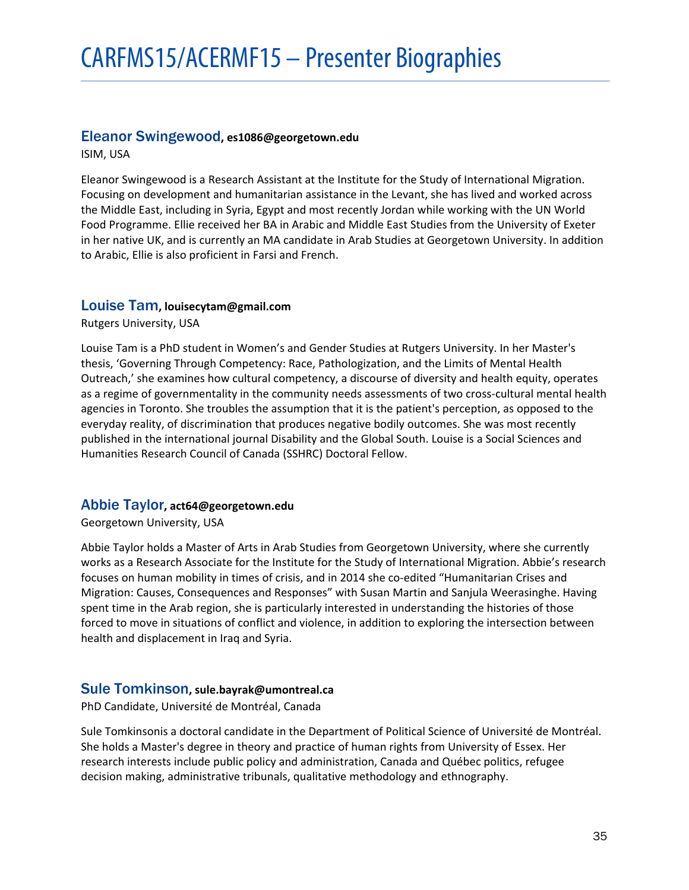# <span id="page-34-0"></span>Eleanor Swingewood**, es1086@georgetown.edu**

ISIM, USA

Eleanor Swingewood is a Research Assistant at the Institute for the Study of International Migration. Focusing on development and humanitarian assistance in the Levant, she has lived and worked across the Middle East, including in Syria, Egypt and most recently Jordan while working with the UN World Food Programme. Ellie received her BA in Arabic and Middle East Studies from the University of Exeter in her native UK, and is currently an MA candidate in Arab Studies at Georgetown University. In addition to Arabic, Ellie is also proficient in Farsi and French.

# <span id="page-34-1"></span>Louise Tam**, louisecytam@gmail.com**

Rutgers University, USA

Louise Tam is a PhD student in Women's and Gender Studies at Rutgers University. In her Master's thesis, 'Governing Through Competency: Race, Pathologization, and the Limits of Mental Health Outreach,' she examines how cultural competency, a discourse of diversity and health equity, operates as a regime of governmentality in the community needs assessments of two cross-cultural mental health agencies in Toronto. She troubles the assumption that it is the patient's perception, as opposed to the everyday reality, of discrimination that produces negative bodily outcomes. She was most recently published in the international journal Disability and the Global South. Louise is a Social Sciences and Humanities Research Council of Canada (SSHRC) Doctoral Fellow.

# <span id="page-34-2"></span>Abbie Taylor**, act64@georgetown.edu**

Georgetown University, USA

Abbie Taylor holds a Master of Arts in Arab Studies from Georgetown University, where she currently works as a Research Associate for the Institute for the Study of International Migration. Abbie's research focuses on human mobility in times of crisis, and in 2014 she co-edited "Humanitarian Crises and Migration: Causes, Consequences and Responses" with Susan Martin and Sanjula Weerasinghe. Having spent time in the Arab region, she is particularly interested in understanding the histories of those forced to move in situations of conflict and violence, in addition to exploring the intersection between health and displacement in Iraq and Syria.

# <span id="page-34-3"></span>Sule Tomkinson**, sule.bayrak@umontreal.ca**

PhD Candidate, Université de Montréal, Canada

Sule Tomkinsonis a doctoral candidate in the Department of Political Science of Université de Montréal. She holds a Master's degree in theory and practice of human rights from University of Essex. Her research interests include public policy and administration, Canada and Québec politics, refugee decision making, administrative tribunals, qualitative methodology and ethnography.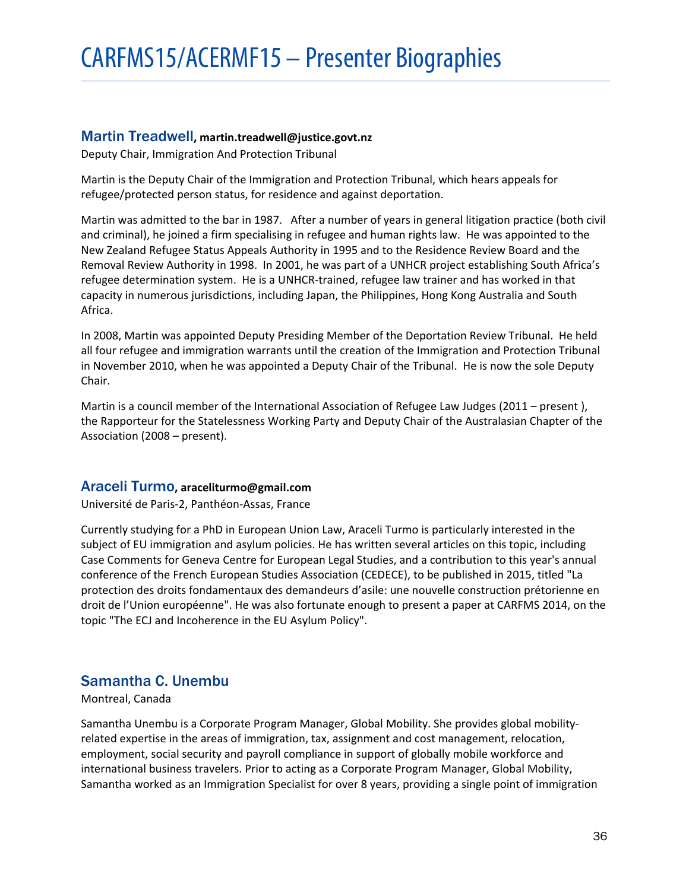# <span id="page-35-0"></span>Martin Treadwell**, martin.treadwell@justice.govt.nz**

Deputy Chair, Immigration And Protection Tribunal

Martin is the Deputy Chair of the Immigration and Protection Tribunal, which hears appeals for refugee/protected person status, for residence and against deportation.

Martin was admitted to the bar in 1987. After a number of years in general litigation practice (both civil and criminal), he joined a firm specialising in refugee and human rights law. He was appointed to the New Zealand Refugee Status Appeals Authority in 1995 and to the Residence Review Board and the Removal Review Authority in 1998. In 2001, he was part of a UNHCR project establishing South Africa's refugee determination system. He is a UNHCR-trained, refugee law trainer and has worked in that capacity in numerous jurisdictions, including Japan, the Philippines, Hong Kong Australia and South Africa.

In 2008, Martin was appointed Deputy Presiding Member of the Deportation Review Tribunal. He held all four refugee and immigration warrants until the creation of the Immigration and Protection Tribunal in November 2010, when he was appointed a Deputy Chair of the Tribunal. He is now the sole Deputy Chair.

Martin is a council member of the International Association of Refugee Law Judges (2011 – present), the Rapporteur for the Statelessness Working Party and Deputy Chair of the Australasian Chapter of the Association (2008 – present).

# <span id="page-35-1"></span>Araceli Turmo**, araceliturmo@gmail.com**

Université de Paris-2, Panthéon-Assas, France

Currently studying for a PhD in European Union Law, Araceli Turmo is particularly interested in the subject of EU immigration and asylum policies. He has written several articles on this topic, including Case Comments for Geneva Centre for European Legal Studies, and a contribution to this year's annual conference of the French European Studies Association (CEDECE), to be published in 2015, titled "La protection des droits fondamentaux des demandeurs d'asile: une nouvelle construction prétorienne en droit de l'Union européenne". He was also fortunate enough to present a paper at CARFMS 2014, on the topic "The ECJ and Incoherence in the EU Asylum Policy".

# <span id="page-35-2"></span>Samantha C. Unembu

# Montreal, Canada

Samantha Unembu is a Corporate Program Manager, Global Mobility. She provides global mobilityrelated expertise in the areas of immigration, tax, assignment and cost management, relocation, employment, social security and payroll compliance in support of globally mobile workforce and international business travelers. Prior to acting as a Corporate Program Manager, Global Mobility, Samantha worked as an Immigration Specialist for over 8 years, providing a single point of immigration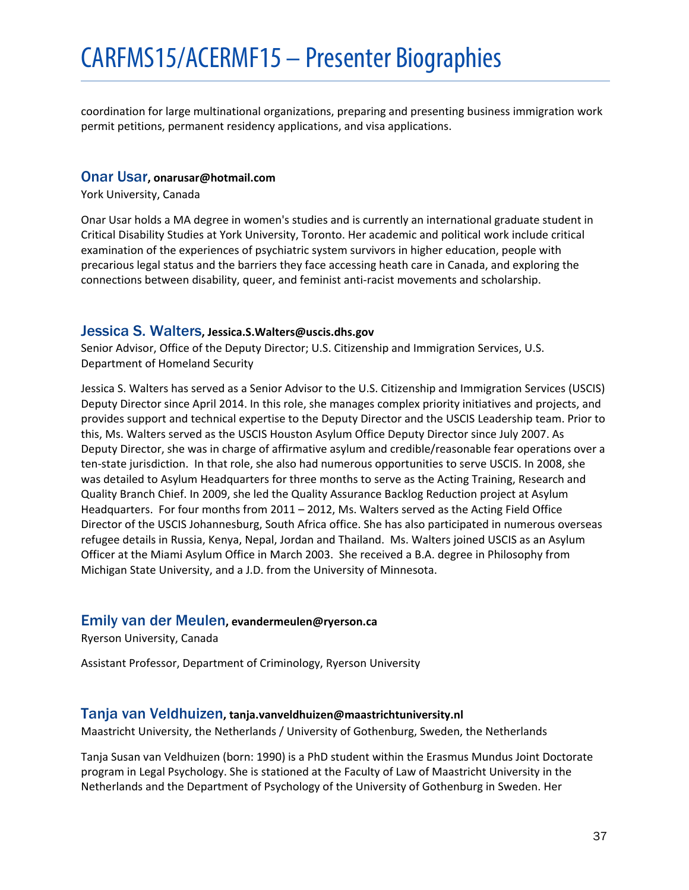coordination for large multinational organizations, preparing and presenting business immigration work permit petitions, permanent residency applications, and visa applications.

#### <span id="page-36-0"></span>Onar Usar**, onarusar@hotmail.com**

York University, Canada

Onar Usar holds a MA degree in women's studies and is currently an international graduate student in Critical Disability Studies at York University, Toronto. Her academic and political work include critical examination of the experiences of psychiatric system survivors in higher education, people with precarious legal status and the barriers they face accessing heath care in Canada, and exploring the connections between disability, queer, and feminist anti-racist movements and scholarship.

# <span id="page-36-1"></span>Jessica S. Walters**, Jessica.S.Walters@uscis.dhs.gov**

Senior Advisor, Office of the Deputy Director; U.S. Citizenship and Immigration Services, U.S. Department of Homeland Security

Jessica S. Walters has served as a Senior Advisor to the U.S. Citizenship and Immigration Services (USCIS) Deputy Director since April 2014. In this role, she manages complex priority initiatives and projects, and provides support and technical expertise to the Deputy Director and the USCIS Leadership team. Prior to this, Ms. Walters served as the USCIS Houston Asylum Office Deputy Director since July 2007. As Deputy Director, she was in charge of affirmative asylum and credible/reasonable fear operations over a ten-state jurisdiction. In that role, she also had numerous opportunities to serve USCIS. In 2008, she was detailed to Asylum Headquarters for three months to serve as the Acting Training, Research and Quality Branch Chief. In 2009, she led the Quality Assurance Backlog Reduction project at Asylum Headquarters. For four months from 2011 – 2012, Ms. Walters served as the Acting Field Office Director of the USCIS Johannesburg, South Africa office. She has also participated in numerous overseas refugee details in Russia, Kenya, Nepal, Jordan and Thailand. Ms. Walters joined USCIS as an Asylum Officer at the Miami Asylum Office in March 2003. She received a B.A. degree in Philosophy from Michigan State University, and a J.D. from the University of Minnesota.

# <span id="page-36-2"></span>Emily van der Meulen**, evandermeulen@ryerson.ca**

Ryerson University, Canada

Assistant Professor, Department of Criminology, Ryerson University

#### <span id="page-36-3"></span>Tanja van Veldhuizen**, tanja.vanveldhuizen@maastrichtuniversity.nl**

Maastricht University, the Netherlands / University of Gothenburg, Sweden, the Netherlands

Tanja Susan van Veldhuizen (born: 1990) is a PhD student within the Erasmus Mundus Joint Doctorate program in Legal Psychology. She is stationed at the Faculty of Law of Maastricht University in the Netherlands and the Department of Psychology of the University of Gothenburg in Sweden. Her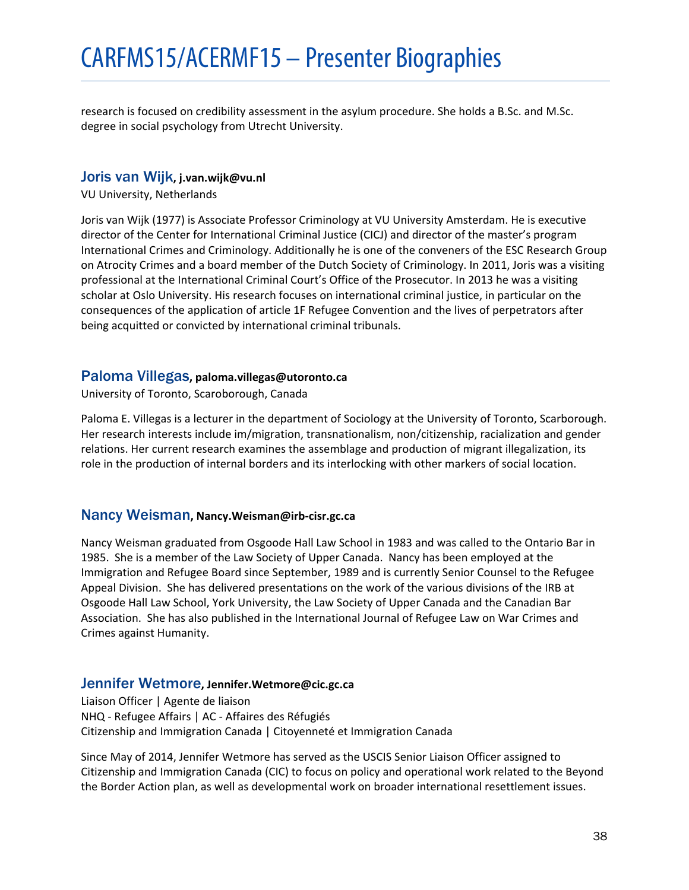research is focused on credibility assessment in the asylum procedure. She holds a B.Sc. and M.Sc. degree in social psychology from Utrecht University.

# <span id="page-37-0"></span>Joris van Wijk**, j.van.wijk@vu.nl**

VU University, Netherlands

Joris van Wijk (1977) is Associate Professor Criminology at VU University Amsterdam. He is executive director of the Center for International Criminal Justice (CICJ) and director of the master's program International Crimes and Criminology. Additionally he is one of the conveners of the ESC Research Group on Atrocity Crimes and a board member of the Dutch Society of Criminology. In 2011, Joris was a visiting professional at the International Criminal Court's Office of the Prosecutor. In 2013 he was a visiting scholar at Oslo University. His research focuses on international criminal justice, in particular on the consequences of the application of article 1F Refugee Convention and the lives of perpetrators after being acquitted or convicted by international criminal tribunals.

# <span id="page-37-1"></span>Paloma Villegas**, paloma.villegas@utoronto.ca**

University of Toronto, Scaroborough, Canada

Paloma E. Villegas is a lecturer in the department of Sociology at the University of Toronto, Scarborough. Her research interests include im/migration, transnationalism, non/citizenship, racialization and gender relations. Her current research examines the assemblage and production of migrant illegalization, its role in the production of internal borders and its interlocking with other markers of social location.

# <span id="page-37-2"></span>Nancy Weisman**, Nancy.Weisman@irb-cisr.gc.ca**

Nancy Weisman graduated from Osgoode Hall Law School in 1983 and was called to the Ontario Bar in 1985. She is a member of the Law Society of Upper Canada. Nancy has been employed at the Immigration and Refugee Board since September, 1989 and is currently Senior Counsel to the Refugee Appeal Division. She has delivered presentations on the work of the various divisions of the IRB at Osgoode Hall Law School, York University, the Law Society of Upper Canada and the Canadian Bar Association. She has also published in the International Journal of Refugee Law on War Crimes and Crimes against Humanity.

# <span id="page-37-3"></span>Jennifer Wetmore**, Jennifer.Wetmore@cic.gc.ca**

Liaison Officer | Agente de liaison NHQ - Refugee Affairs | AC - Affaires des Réfugiés Citizenship and Immigration Canada | Citoyenneté et Immigration Canada

Since May of 2014, Jennifer Wetmore has served as the USCIS Senior Liaison Officer assigned to Citizenship and Immigration Canada (CIC) to focus on policy and operational work related to the Beyond the Border Action plan, as well as developmental work on broader international resettlement issues.